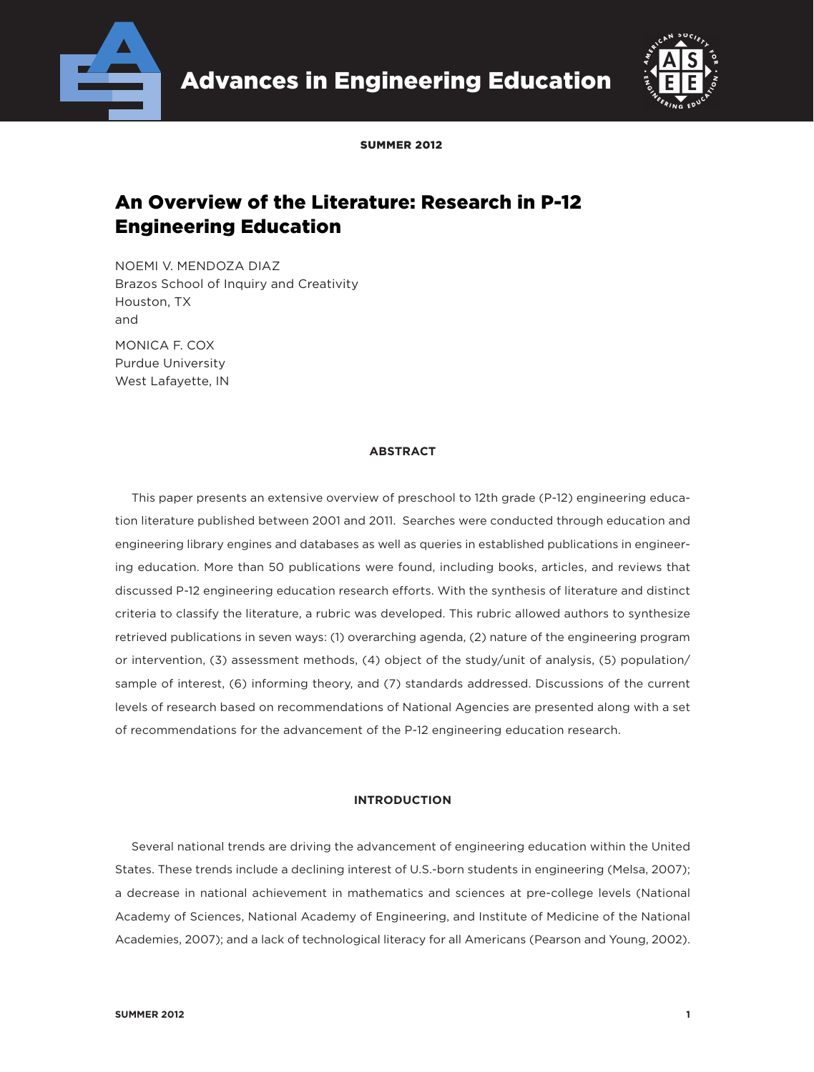



SUMMER 2012

# An Overview of the Literature: Research in P-12 Engineering Education

NOEMI V. MENDOZA DIAZ Brazos School of Inquiry and Creativity Houston, TX and

MONICA F. COX Purdue University West Lafayette, IN

### **ABSTRACT**

This paper presents an extensive overview of preschool to 12th grade (P-12) engineering education literature published between 2001 and 2011. Searches were conducted through education and engineering library engines and databases as well as queries in established publications in engineering education. More than 50 publications were found, including books, articles, and reviews that discussed P-12 engineering education research efforts. With the synthesis of literature and distinct criteria to classify the literature, a rubric was developed. This rubric allowed authors to synthesize retrieved publications in seven ways: (1) overarching agenda, (2) nature of the engineering program or intervention, (3) assessment methods, (4) object of the study/unit of analysis, (5) population/ sample of interest, (6) informing theory, and (7) standards addressed. Discussions of the current levels of research based on recommendations of National Agencies are presented along with a set of recommendations for the advancement of the P-12 engineering education research.

### **INTRODUCTION**

Several national trends are driving the advancement of engineering education within the United States. These trends include a declining interest of U.S.-born students in engineering (Melsa, 2007); a decrease in national achievement in mathematics and sciences at pre-college levels (National Academy of Sciences, National Academy of Engineering, and Institute of Medicine of the National Academies, 2007); and a lack of technological literacy for all Americans (Pearson and Young, 2002).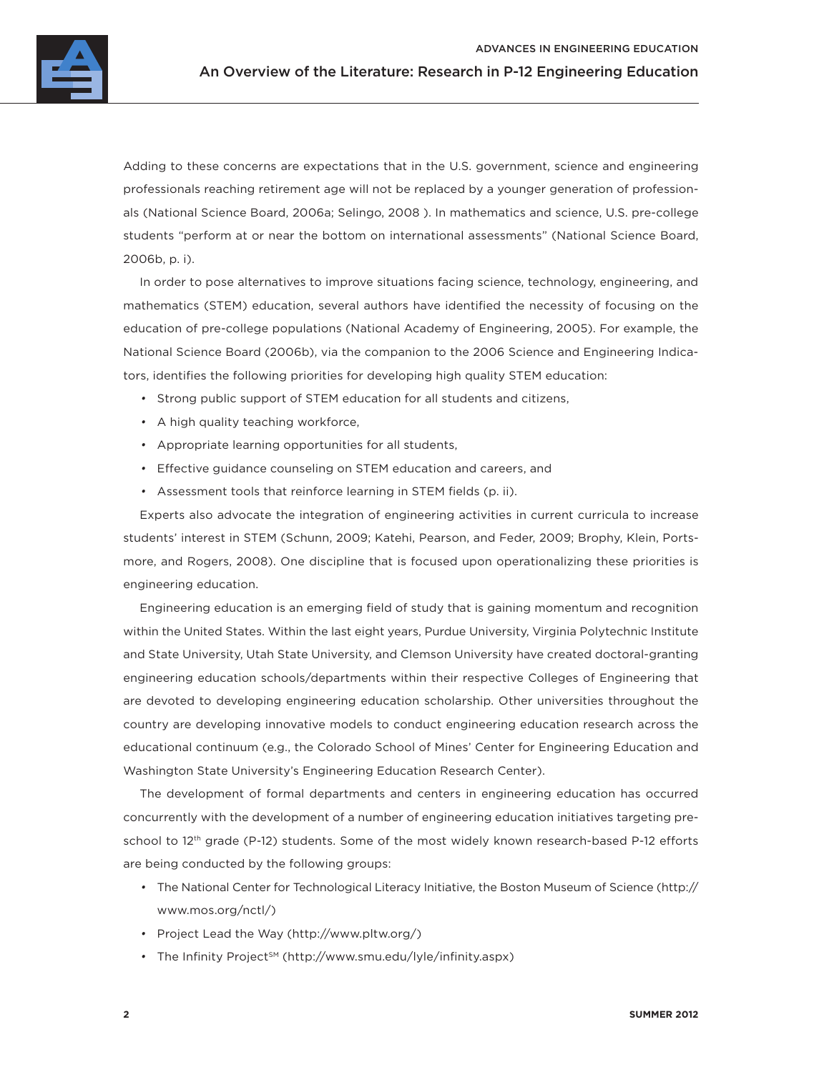

Adding to these concerns are expectations that in the U.S. government, science and engineering professionals reaching retirement age will not be replaced by a younger generation of professionals (National Science Board, 2006a; Selingo, 2008 ). In mathematics and science, U.S. pre-college students "perform at or near the bottom on international assessments" (National Science Board, 2006b, p. i).

In order to pose alternatives to improve situations facing science, technology, engineering, and mathematics (STEM) education, several authors have identified the necessity of focusing on the education of pre-college populations (National Academy of Engineering, 2005). For example, the National Science Board (2006b), via the companion to the 2006 Science and Engineering Indicators, identifies the following priorities for developing high quality STEM education:

- Strong public support of STEM education for all students and citizens,
- A high quality teaching workforce,
- Appropriate learning opportunities for all students,
- Effective guidance counseling on STEM education and careers, and
- Assessment tools that reinforce learning in STEM fields (p. ii).

Experts also advocate the integration of engineering activities in current curricula to increase students' interest in STEM (Schunn, 2009; Katehi, Pearson, and Feder, 2009; Brophy, Klein, Portsmore, and Rogers, 2008). One discipline that is focused upon operationalizing these priorities is engineering education.

Engineering education is an emerging field of study that is gaining momentum and recognition within the United States. Within the last eight years, Purdue University, Virginia Polytechnic Institute and State University, Utah State University, and Clemson University have created doctoral-granting engineering education schools/departments within their respective Colleges of Engineering that are devoted to developing engineering education scholarship. Other universities throughout the country are developing innovative models to conduct engineering education research across the educational continuum (e.g., the Colorado School of Mines' Center for Engineering Education and Washington State University's Engineering Education Research Center).

The development of formal departments and centers in engineering education has occurred concurrently with the development of a number of engineering education initiatives targeting preschool to 12th grade (P-12) students. Some of the most widely known research-based P-12 efforts are being conducted by the following groups:

- The National Center for Technological Literacy Initiative, the Boston Museum of Science (http:// www.mos.org/nctl/)
- Project Lead the Way (http://www.pltw.org/)
- The Infinity Project<sup>sM</sup> (http://www.smu.edu/lyle/infinity.aspx)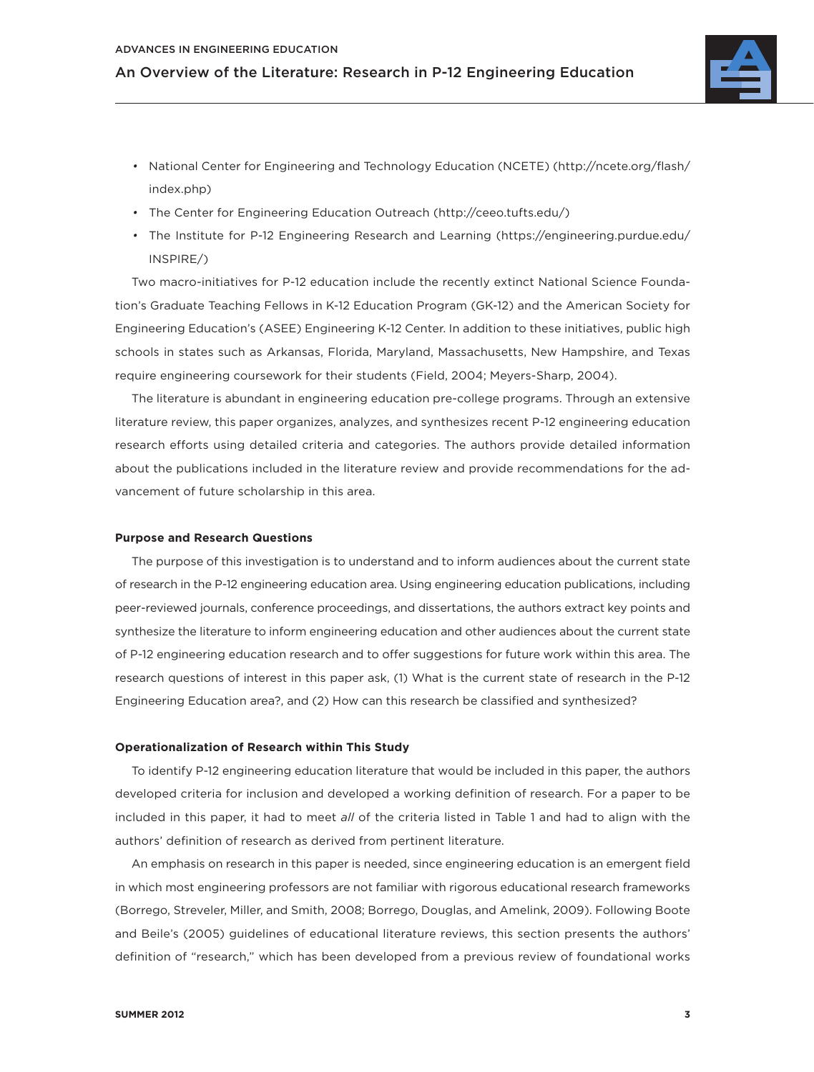

- National Center for Engineering and Technology Education (NCETE) (http://ncete.org/flash/ index.php)
- The Center for Engineering Education Outreach (http://ceeo.tufts.edu/)
- The Institute for P-12 Engineering Research and Learning (https://engineering.purdue.edu/ INSPIRE/)

Two macro-initiatives for P-12 education include the recently extinct National Science Foundation's Graduate Teaching Fellows in K-12 Education Program (GK-12) and the American Society for Engineering Education's (ASEE) Engineering K-12 Center. In addition to these initiatives, public high schools in states such as Arkansas, Florida, Maryland, Massachusetts, New Hampshire, and Texas require engineering coursework for their students (Field, 2004; Meyers-Sharp, 2004).

The literature is abundant in engineering education pre-college programs. Through an extensive literature review, this paper organizes, analyzes, and synthesizes recent P-12 engineering education research efforts using detailed criteria and categories. The authors provide detailed information about the publications included in the literature review and provide recommendations for the advancement of future scholarship in this area.

### **Purpose and Research Questions**

The purpose of this investigation is to understand and to inform audiences about the current state of research in the P-12 engineering education area. Using engineering education publications, including peer-reviewed journals, conference proceedings, and dissertations, the authors extract key points and synthesize the literature to inform engineering education and other audiences about the current state of P-12 engineering education research and to offer suggestions for future work within this area. The research questions of interest in this paper ask, (1) What is the current state of research in the P-12 Engineering Education area?, and (2) How can this research be classified and synthesized?

### **Operationalization of Research within This Study**

To identify P-12 engineering education literature that would be included in this paper, the authors developed criteria for inclusion and developed a working definition of research. For a paper to be included in this paper, it had to meet *all* of the criteria listed in Table 1 and had to align with the authors' definition of research as derived from pertinent literature.

An emphasis on research in this paper is needed, since engineering education is an emergent field in which most engineering professors are not familiar with rigorous educational research frameworks (Borrego, Streveler, Miller, and Smith, 2008; Borrego, Douglas, and Amelink, 2009). Following Boote and Beile's (2005) guidelines of educational literature reviews, this section presents the authors' definition of "research," which has been developed from a previous review of foundational works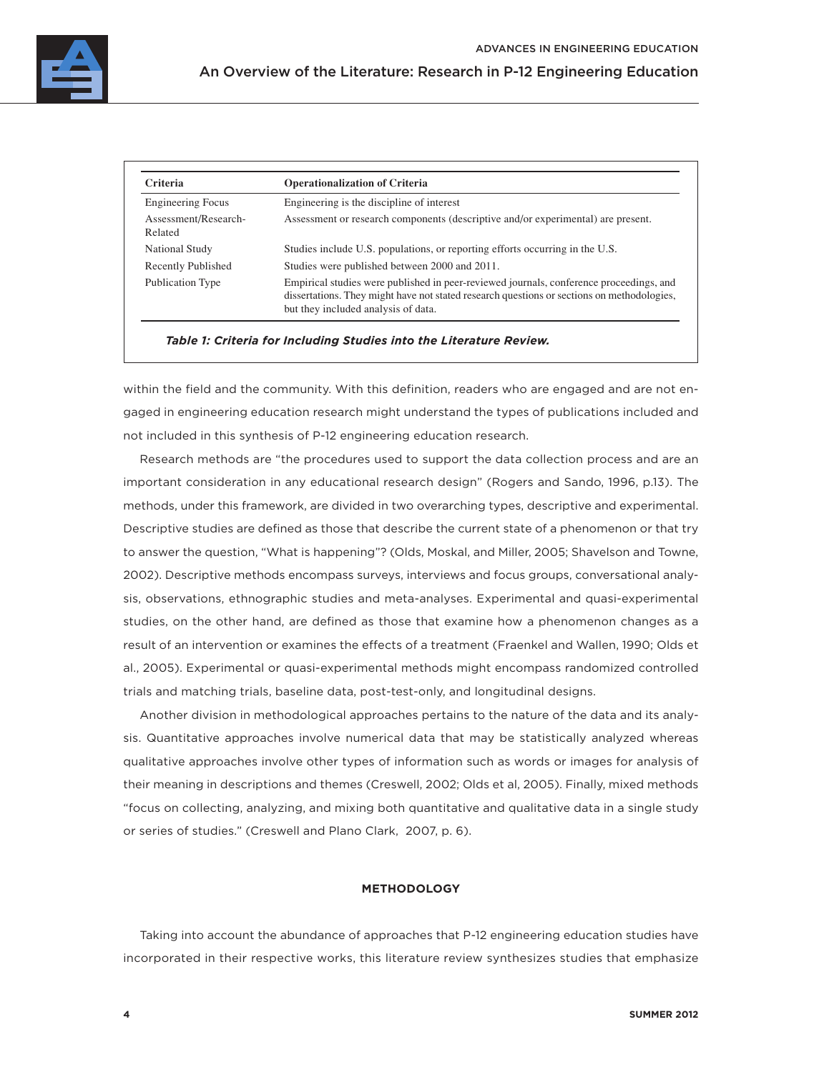| <b>Criteria</b>                 | <b>Operationalization of Criteria</b>                                                                                                                                                                                        |
|---------------------------------|------------------------------------------------------------------------------------------------------------------------------------------------------------------------------------------------------------------------------|
| <b>Engineering Focus</b>        | Engineering is the discipline of interest                                                                                                                                                                                    |
| Assessment/Research-<br>Related | Assessment or research components (descriptive and/or experimental) are present.                                                                                                                                             |
| National Study                  | Studies include U.S. populations, or reporting efforts occurring in the U.S.                                                                                                                                                 |
| Recently Published              | Studies were published between 2000 and 2011.                                                                                                                                                                                |
| Publication Type                | Empirical studies were published in peer-reviewed journals, conference proceedings, and<br>dissertations. They might have not stated research questions or sections on methodologies,<br>but they included analysis of data. |

*Table 1: Criteria for Including Studies into the Literature Review.*

within the field and the community. With this definition, readers who are engaged and are not engaged in engineering education research might understand the types of publications included and not included in this synthesis of P-12 engineering education research.

Research methods are "the procedures used to support the data collection process and are an important consideration in any educational research design" (Rogers and Sando, 1996, p.13). The methods, under this framework, are divided in two overarching types, descriptive and experimental. Descriptive studies are defined as those that describe the current state of a phenomenon or that try to answer the question, "What is happening"? (Olds, Moskal, and Miller, 2005; Shavelson and Towne, 2002). Descriptive methods encompass surveys, interviews and focus groups, conversational analysis, observations, ethnographic studies and meta-analyses. Experimental and quasi-experimental studies, on the other hand, are defined as those that examine how a phenomenon changes as a result of an intervention or examines the effects of a treatment (Fraenkel and Wallen, 1990; Olds et al., 2005). Experimental or quasi-experimental methods might encompass randomized controlled trials and matching trials, baseline data, post-test-only, and longitudinal designs.

Another division in methodological approaches pertains to the nature of the data and its analysis. Quantitative approaches involve numerical data that may be statistically analyzed whereas qualitative approaches involve other types of information such as words or images for analysis of their meaning in descriptions and themes (Creswell, 2002; Olds et al, 2005). Finally, mixed methods "focus on collecting, analyzing, and mixing both quantitative and qualitative data in a single study or series of studies." (Creswell and Plano Clark, 2007, p. 6).

### **METHODOLOGY**

Taking into account the abundance of approaches that P-12 engineering education studies have incorporated in their respective works, this literature review synthesizes studies that emphasize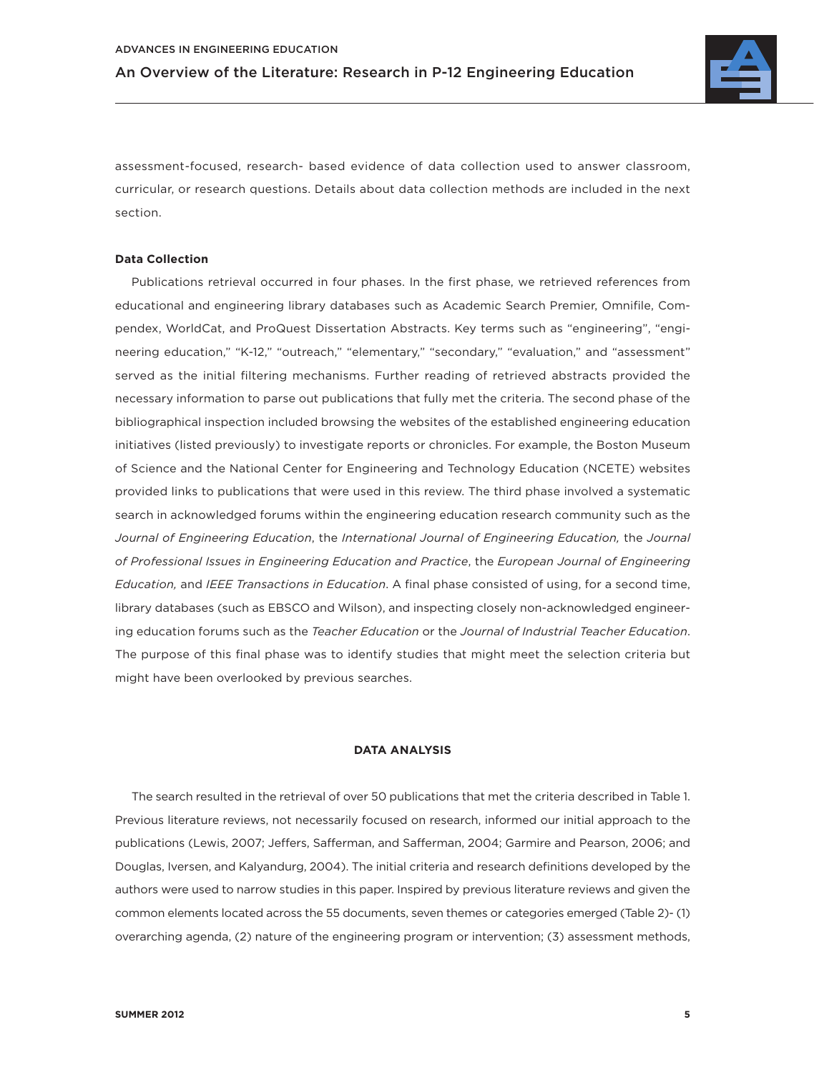

assessment-focused, research- based evidence of data collection used to answer classroom, curricular, or research questions. Details about data collection methods are included in the next section.

### **Data Collection**

Publications retrieval occurred in four phases. In the first phase, we retrieved references from educational and engineering library databases such as Academic Search Premier, Omnifile, Compendex, WorldCat, and ProQuest Dissertation Abstracts. Key terms such as "engineering", "engineering education," "K-12," "outreach," "elementary," "secondary," "evaluation," and "assessment" served as the initial filtering mechanisms. Further reading of retrieved abstracts provided the necessary information to parse out publications that fully met the criteria. The second phase of the bibliographical inspection included browsing the websites of the established engineering education initiatives (listed previously) to investigate reports or chronicles. For example, the Boston Museum of Science and the National Center for Engineering and Technology Education (NCETE) websites provided links to publications that were used in this review. The third phase involved a systematic search in acknowledged forums within the engineering education research community such as the *Journal of Engineering Education*, the *International Journal of Engineering Education,* the *Journal of Professional Issues in Engineering Education and Practice*, the *European Journal of Engineering Education,* and *IEEE Transactions in Education*. A final phase consisted of using, for a second time, library databases (such as EBSCO and Wilson), and inspecting closely non-acknowledged engineering education forums such as the *Teacher Education* or the *Journal of Industrial Teacher Education*. The purpose of this final phase was to identify studies that might meet the selection criteria but might have been overlooked by previous searches.

### **DATA ANALYSIS**

The search resulted in the retrieval of over 50 publications that met the criteria described in Table 1. Previous literature reviews, not necessarily focused on research, informed our initial approach to the publications (Lewis, 2007; Jeffers, Safferman, and Safferman, 2004; Garmire and Pearson, 2006; and Douglas, Iversen, and Kalyandurg, 2004). The initial criteria and research definitions developed by the authors were used to narrow studies in this paper. Inspired by previous literature reviews and given the common elements located across the 55 documents, seven themes or categories emerged (Table 2)- (1) overarching agenda, (2) nature of the engineering program or intervention; (3) assessment methods,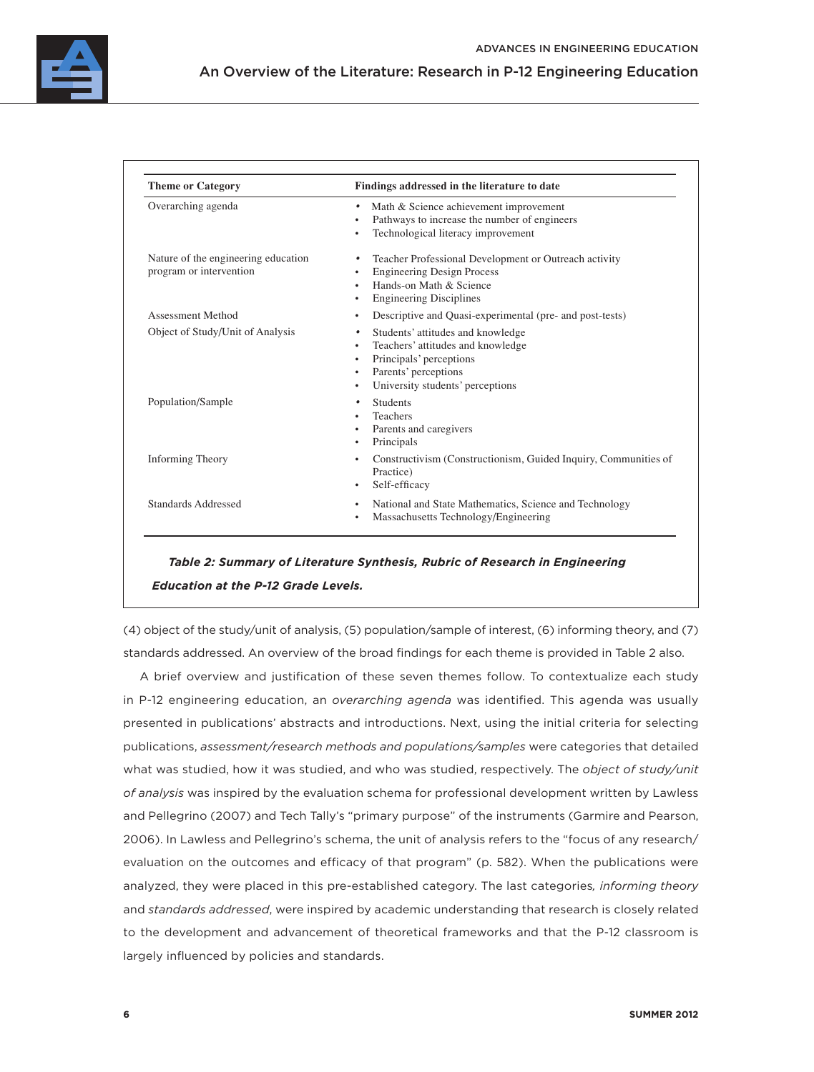

| <b>Theme or Category</b>                                       | Findings addressed in the literature to date                                                                                                                                                                           |  |  |
|----------------------------------------------------------------|------------------------------------------------------------------------------------------------------------------------------------------------------------------------------------------------------------------------|--|--|
| Overarching agenda                                             | Math & Science achievement improvement<br>٠<br>Pathways to increase the number of engineers<br>٠<br>Technological literacy improvement<br>٠                                                                            |  |  |
| Nature of the engineering education<br>program or intervention | Teacher Professional Development or Outreach activity<br>$\bullet$<br><b>Engineering Design Process</b><br>٠<br>Hands-on Math & Science<br>$\bullet$<br><b>Engineering Disciplines</b><br>٠                            |  |  |
| <b>Assessment Method</b>                                       | Descriptive and Quasi-experimental (pre- and post-tests)<br>٠                                                                                                                                                          |  |  |
| Object of Study/Unit of Analysis                               | Students' attitudes and knowledge<br>$\bullet$<br>Teachers' attitudes and knowledge<br>$\bullet$<br>Principals' perceptions<br>$\bullet$<br>Parents' perceptions<br>$\bullet$<br>University students' perceptions<br>٠ |  |  |
| Population/Sample                                              | <b>Students</b><br>$\bullet$<br><b>Teachers</b><br>Parents and caregivers<br>$\bullet$<br>Principals<br>$\bullet$                                                                                                      |  |  |
| <b>Informing Theory</b>                                        | Constructivism (Constructionism, Guided Inquiry, Communities of<br>$\bullet$<br>Practice)<br>Self-efficacy<br>$\bullet$                                                                                                |  |  |
| Standards Addressed                                            | National and State Mathematics, Science and Technology<br>$\bullet$<br>Massachusetts Technology/Engineering<br>$\bullet$                                                                                               |  |  |

*Table 2: Summary of Literature Synthesis, Rubric of Research in Engineering Education at the P-12 Grade Levels.*

(4) object of the study/unit of analysis, (5) population/sample of interest, (6) informing theory, and (7) standards addressed. An overview of the broad findings for each theme is provided in Table 2 also.

A brief overview and justification of these seven themes follow. To contextualize each study in P-12 engineering education, an *overarching agenda* was identified. This agenda was usually presented in publications' abstracts and introductions. Next, using the initial criteria for selecting publications, *assessment/research methods and populations/samples* were categories that detailed what was studied, how it was studied, and who was studied, respectively. The *object of study/unit of analysis* was inspired by the evaluation schema for professional development written by Lawless and Pellegrino (2007) and Tech Tally's "primary purpose" of the instruments (Garmire and Pearson, 2006). In Lawless and Pellegrino's schema, the unit of analysis refers to the "focus of any research/ evaluation on the outcomes and efficacy of that program" (p. 582). When the publications were analyzed, they were placed in this pre-established category. The last categories*, informing theory* and *standards addressed*, were inspired by academic understanding that research is closely related to the development and advancement of theoretical frameworks and that the P-12 classroom is largely influenced by policies and standards.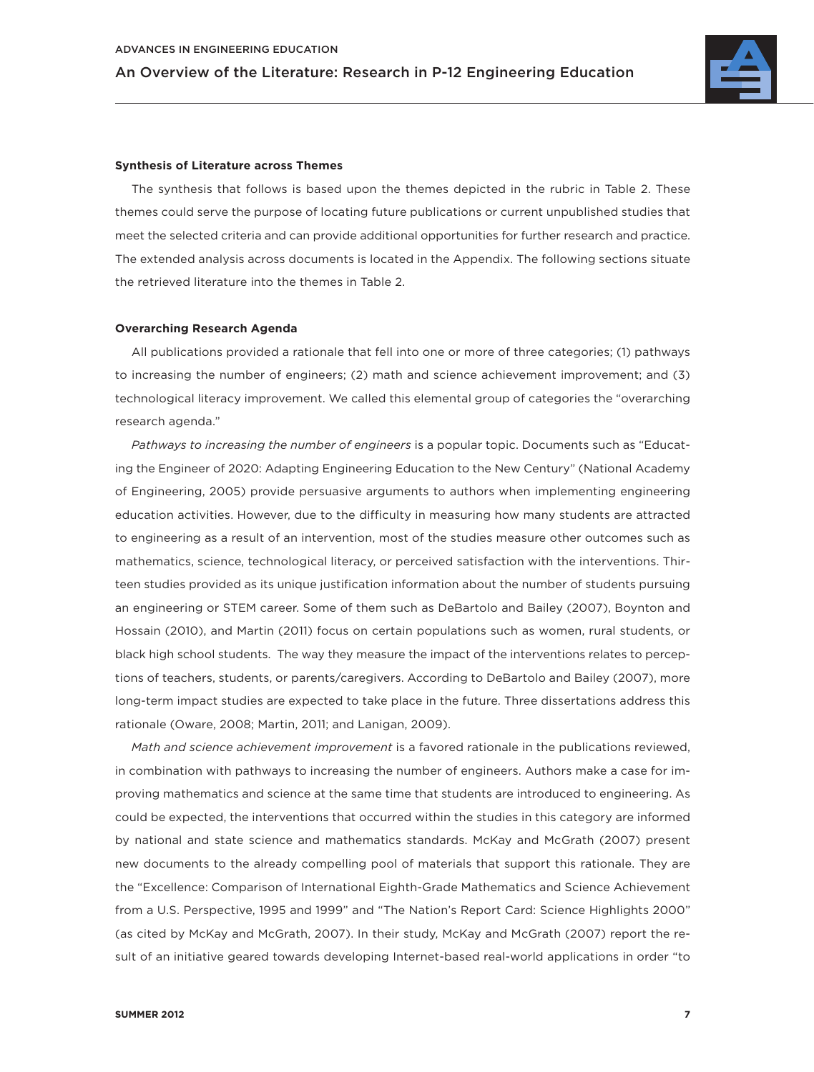

### **Synthesis of Literature across Themes**

The synthesis that follows is based upon the themes depicted in the rubric in Table 2. These themes could serve the purpose of locating future publications or current unpublished studies that meet the selected criteria and can provide additional opportunities for further research and practice. The extended analysis across documents is located in the Appendix. The following sections situate the retrieved literature into the themes in Table 2.

### **Overarching Research Agenda**

All publications provided a rationale that fell into one or more of three categories; (1) pathways to increasing the number of engineers; (2) math and science achievement improvement; and (3) technological literacy improvement. We called this elemental group of categories the "overarching research agenda."

*Pathways to increasing the number of engineers* is a popular topic. Documents such as "Educating the Engineer of 2020: Adapting Engineering Education to the New Century" (National Academy of Engineering, 2005) provide persuasive arguments to authors when implementing engineering education activities. However, due to the difficulty in measuring how many students are attracted to engineering as a result of an intervention, most of the studies measure other outcomes such as mathematics, science, technological literacy, or perceived satisfaction with the interventions. Thirteen studies provided as its unique justification information about the number of students pursuing an engineering or STEM career. Some of them such as DeBartolo and Bailey (2007), Boynton and Hossain (2010), and Martin (2011) focus on certain populations such as women, rural students, or black high school students. The way they measure the impact of the interventions relates to perceptions of teachers, students, or parents/caregivers. According to DeBartolo and Bailey (2007), more long-term impact studies are expected to take place in the future. Three dissertations address this rationale (Oware, 2008; Martin, 2011; and Lanigan, 2009).

*Math and science achievement improvement* is a favored rationale in the publications reviewed, in combination with pathways to increasing the number of engineers. Authors make a case for improving mathematics and science at the same time that students are introduced to engineering. As could be expected, the interventions that occurred within the studies in this category are informed by national and state science and mathematics standards. McKay and McGrath (2007) present new documents to the already compelling pool of materials that support this rationale. They are the "Excellence: Comparison of International Eighth-Grade Mathematics and Science Achievement from a U.S. Perspective, 1995 and 1999" and "The Nation's Report Card: Science Highlights 2000" (as cited by McKay and McGrath, 2007). In their study, McKay and McGrath (2007) report the result of an initiative geared towards developing Internet-based real-world applications in order "to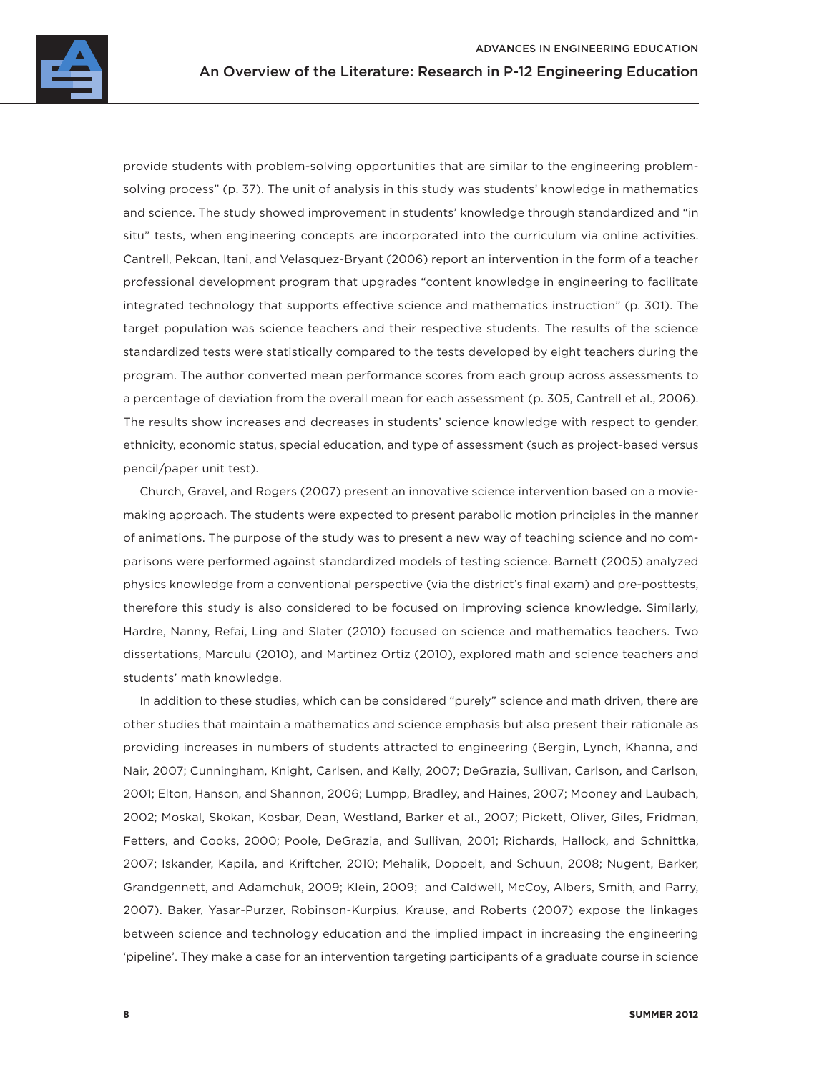

provide students with problem-solving opportunities that are similar to the engineering problemsolving process" (p. 37). The unit of analysis in this study was students' knowledge in mathematics and science. The study showed improvement in students' knowledge through standardized and "in situ" tests, when engineering concepts are incorporated into the curriculum via online activities. Cantrell, Pekcan, Itani, and Velasquez-Bryant (2006) report an intervention in the form of a teacher professional development program that upgrades "content knowledge in engineering to facilitate integrated technology that supports effective science and mathematics instruction" (p. 301). The target population was science teachers and their respective students. The results of the science standardized tests were statistically compared to the tests developed by eight teachers during the program. The author converted mean performance scores from each group across assessments to a percentage of deviation from the overall mean for each assessment (p. 305, Cantrell et al., 2006). The results show increases and decreases in students' science knowledge with respect to gender, ethnicity, economic status, special education, and type of assessment (such as project-based versus pencil/paper unit test).

Church, Gravel, and Rogers (2007) present an innovative science intervention based on a moviemaking approach. The students were expected to present parabolic motion principles in the manner of animations. The purpose of the study was to present a new way of teaching science and no comparisons were performed against standardized models of testing science. Barnett (2005) analyzed physics knowledge from a conventional perspective (via the district's final exam) and pre-posttests, therefore this study is also considered to be focused on improving science knowledge. Similarly, Hardre, Nanny, Refai, Ling and Slater (2010) focused on science and mathematics teachers. Two dissertations, Marculu (2010), and Martinez Ortiz (2010), explored math and science teachers and students' math knowledge.

In addition to these studies, which can be considered "purely" science and math driven, there are other studies that maintain a mathematics and science emphasis but also present their rationale as providing increases in numbers of students attracted to engineering (Bergin, Lynch, Khanna, and Nair, 2007; Cunningham, Knight, Carlsen, and Kelly, 2007; DeGrazia, Sullivan, Carlson, and Carlson, 2001; Elton, Hanson, and Shannon, 2006; Lumpp, Bradley, and Haines, 2007; Mooney and Laubach, 2002; Moskal, Skokan, Kosbar, Dean, Westland, Barker et al., 2007; Pickett, Oliver, Giles, Fridman, Fetters, and Cooks, 2000; Poole, DeGrazia, and Sullivan, 2001; Richards, Hallock, and Schnittka, 2007; Iskander, Kapila, and Kriftcher, 2010; Mehalik, Doppelt, and Schuun, 2008; Nugent, Barker, Grandgennett, and Adamchuk, 2009; Klein, 2009; and Caldwell, McCoy, Albers, Smith, and Parry, 2007). Baker, Yasar-Purzer, Robinson-Kurpius, Krause, and Roberts (2007) expose the linkages between science and technology education and the implied impact in increasing the engineering 'pipeline'. They make a case for an intervention targeting participants of a graduate course in science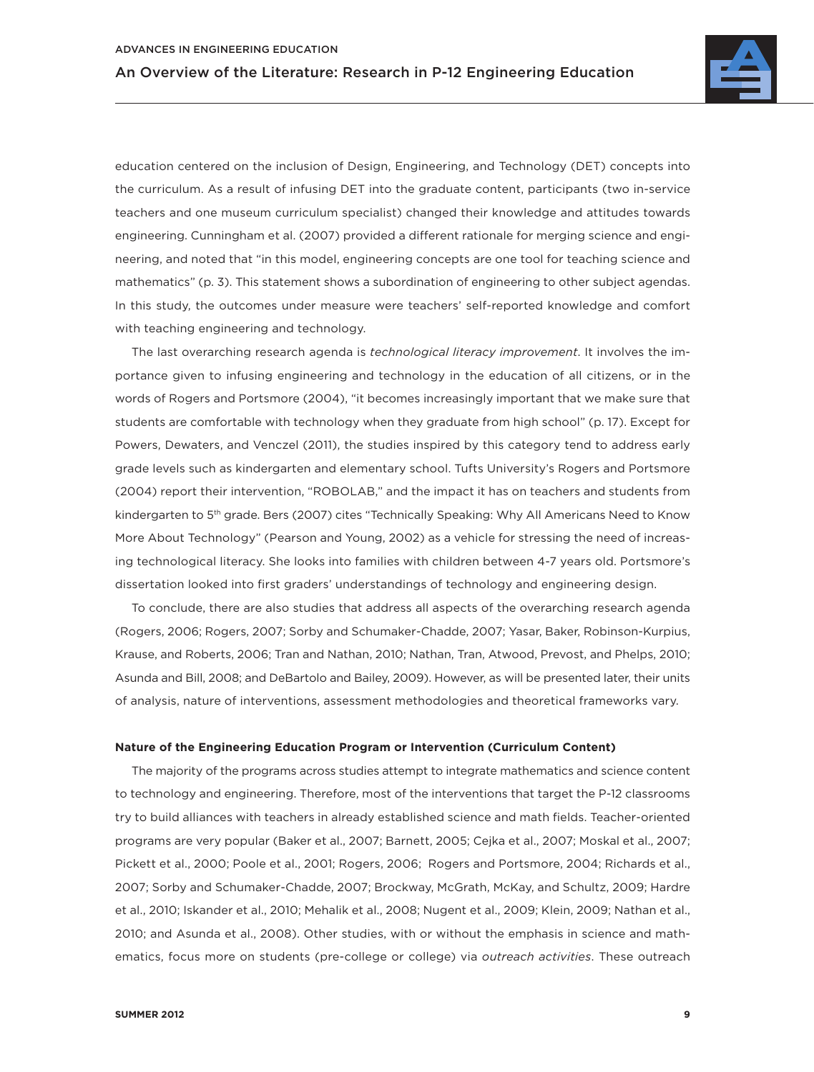

education centered on the inclusion of Design, Engineering, and Technology (DET) concepts into the curriculum. As a result of infusing DET into the graduate content, participants (two in-service teachers and one museum curriculum specialist) changed their knowledge and attitudes towards engineering. Cunningham et al. (2007) provided a different rationale for merging science and engineering, and noted that "in this model, engineering concepts are one tool for teaching science and mathematics" (p. 3). This statement shows a subordination of engineering to other subject agendas. In this study, the outcomes under measure were teachers' self-reported knowledge and comfort with teaching engineering and technology.

The last overarching research agenda is *technological literacy improvement*. It involves the importance given to infusing engineering and technology in the education of all citizens, or in the words of Rogers and Portsmore (2004), "it becomes increasingly important that we make sure that students are comfortable with technology when they graduate from high school" (p. 17). Except for Powers, Dewaters, and Venczel (2011), the studies inspired by this category tend to address early grade levels such as kindergarten and elementary school. Tufts University's Rogers and Portsmore (2004) report their intervention, "ROBOLAB," and the impact it has on teachers and students from kindergarten to 5<sup>th</sup> grade. Bers (2007) cites "Technically Speaking: Why All Americans Need to Know More About Technology" (Pearson and Young, 2002) as a vehicle for stressing the need of increasing technological literacy. She looks into families with children between 4-7 years old. Portsmore's dissertation looked into first graders' understandings of technology and engineering design.

To conclude, there are also studies that address all aspects of the overarching research agenda (Rogers, 2006; Rogers, 2007; Sorby and Schumaker-Chadde, 2007; Yasar, Baker, Robinson-Kurpius, Krause, and Roberts, 2006; Tran and Nathan, 2010; Nathan, Tran, Atwood, Prevost, and Phelps, 2010; Asunda and Bill, 2008; and DeBartolo and Bailey, 2009). However, as will be presented later, their units of analysis, nature of interventions, assessment methodologies and theoretical frameworks vary.

### **Nature of the Engineering Education Program or Intervention (Curriculum Content)**

The majority of the programs across studies attempt to integrate mathematics and science content to technology and engineering. Therefore, most of the interventions that target the P-12 classrooms try to build alliances with teachers in already established science and math fields. Teacher-oriented programs are very popular (Baker et al., 2007; Barnett, 2005; Cejka et al., 2007; Moskal et al., 2007; Pickett et al., 2000; Poole et al., 2001; Rogers, 2006; Rogers and Portsmore, 2004; Richards et al., 2007; Sorby and Schumaker-Chadde, 2007; Brockway, McGrath, McKay, and Schultz, 2009; Hardre et al., 2010; Iskander et al., 2010; Mehalik et al., 2008; Nugent et al., 2009; Klein, 2009; Nathan et al., 2010; and Asunda et al., 2008). Other studies, with or without the emphasis in science and mathematics, focus more on students (pre-college or college) via *outreach activities*. These outreach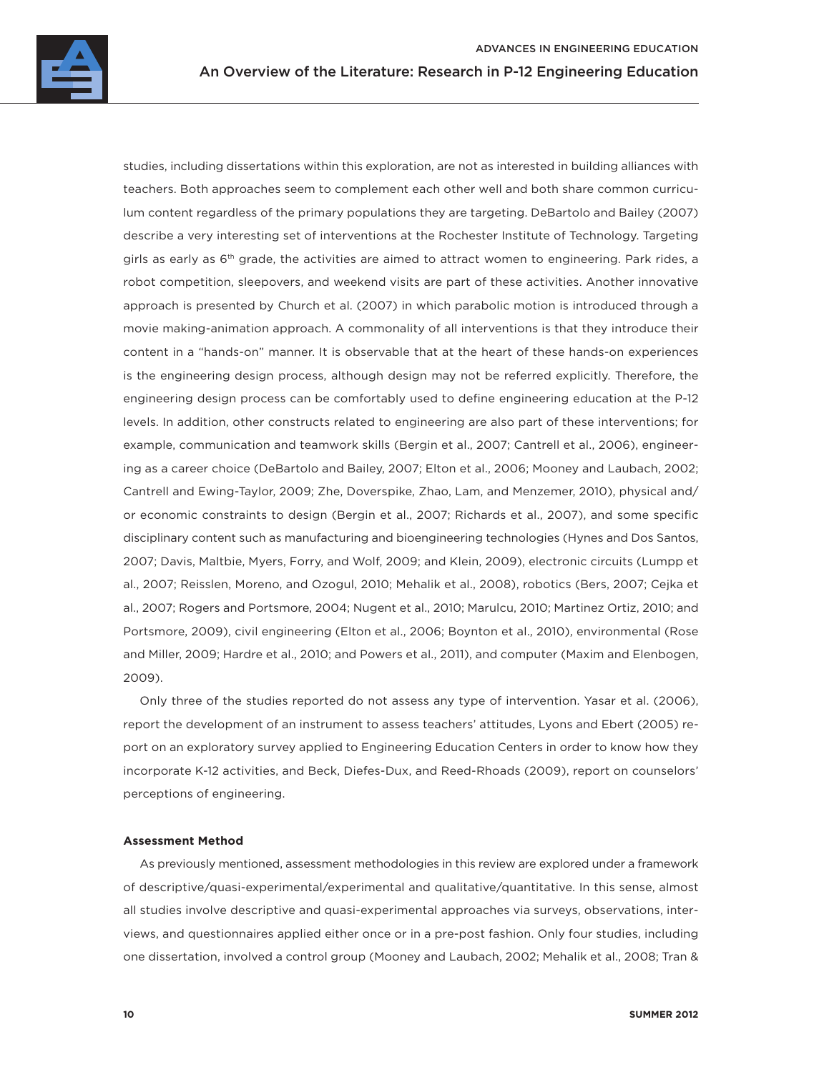studies, including dissertations within this exploration, are not as interested in building alliances with teachers. Both approaches seem to complement each other well and both share common curriculum content regardless of the primary populations they are targeting. DeBartolo and Bailey (2007) describe a very interesting set of interventions at the Rochester Institute of Technology. Targeting girls as early as  $6<sup>th</sup>$  grade, the activities are aimed to attract women to engineering. Park rides, a robot competition, sleepovers, and weekend visits are part of these activities. Another innovative approach is presented by Church et al. (2007) in which parabolic motion is introduced through a movie making-animation approach. A commonality of all interventions is that they introduce their content in a "hands-on" manner. It is observable that at the heart of these hands-on experiences is the engineering design process, although design may not be referred explicitly. Therefore, the engineering design process can be comfortably used to define engineering education at the P-12 levels. In addition, other constructs related to engineering are also part of these interventions; for example, communication and teamwork skills (Bergin et al., 2007; Cantrell et al., 2006), engineering as a career choice (DeBartolo and Bailey, 2007; Elton et al., 2006; Mooney and Laubach, 2002; Cantrell and Ewing-Taylor, 2009; Zhe, Doverspike, Zhao, Lam, and Menzemer, 2010), physical and/ or economic constraints to design (Bergin et al., 2007; Richards et al., 2007), and some specific disciplinary content such as manufacturing and bioengineering technologies (Hynes and Dos Santos, 2007; Davis, Maltbie, Myers, Forry, and Wolf, 2009; and Klein, 2009), electronic circuits (Lumpp et al., 2007; Reisslen, Moreno, and Ozogul, 2010; Mehalik et al., 2008), robotics (Bers, 2007; Cejka et al., 2007; Rogers and Portsmore, 2004; Nugent et al., 2010; Marulcu, 2010; Martinez Ortiz, 2010; and Portsmore, 2009), civil engineering (Elton et al., 2006; Boynton et al., 2010), environmental (Rose and Miller, 2009; Hardre et al., 2010; and Powers et al., 2011), and computer (Maxim and Elenbogen, 2009).

Only three of the studies reported do not assess any type of intervention. Yasar et al. (2006), report the development of an instrument to assess teachers' attitudes, Lyons and Ebert (2005) report on an exploratory survey applied to Engineering Education Centers in order to know how they incorporate K-12 activities, and Beck, Diefes-Dux, and Reed-Rhoads (2009), report on counselors' perceptions of engineering.

### **Assessment Method**

As previously mentioned, assessment methodologies in this review are explored under a framework of descriptive/quasi-experimental/experimental and qualitative/quantitative. In this sense, almost all studies involve descriptive and quasi-experimental approaches via surveys, observations, interviews, and questionnaires applied either once or in a pre-post fashion. Only four studies, including one dissertation, involved a control group (Mooney and Laubach, 2002; Mehalik et al., 2008; Tran &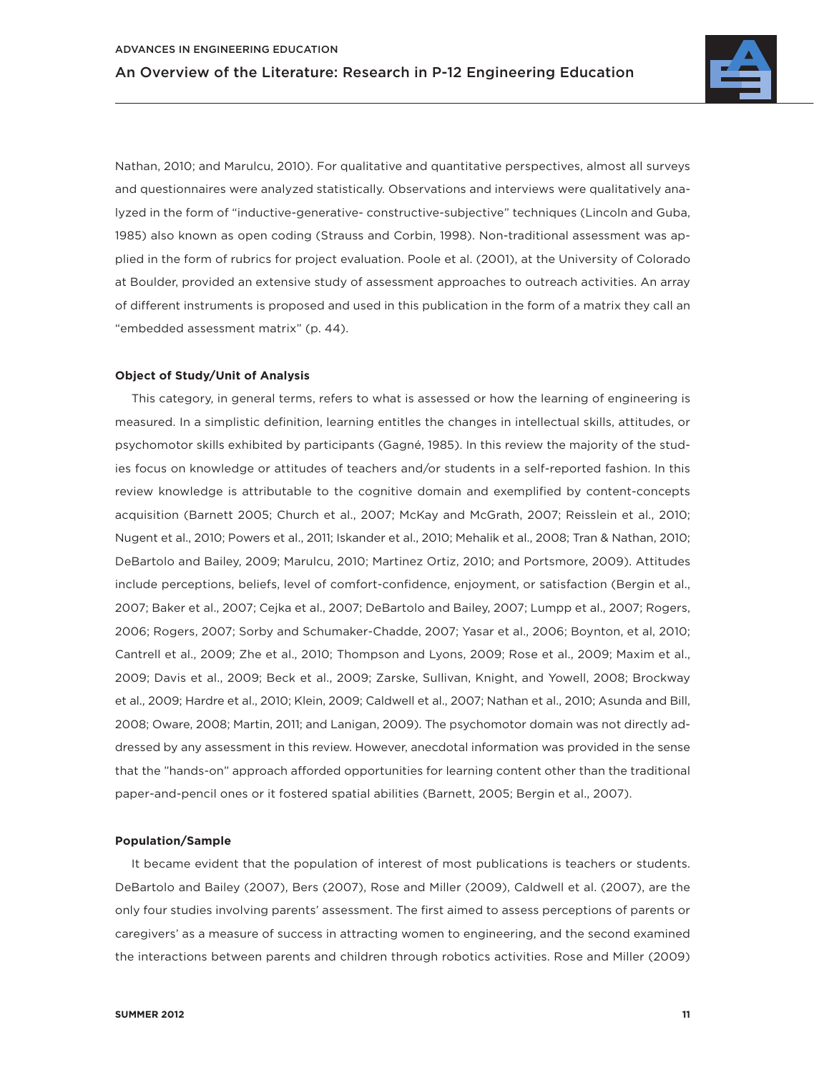

Nathan, 2010; and Marulcu, 2010). For qualitative and quantitative perspectives, almost all surveys and questionnaires were analyzed statistically. Observations and interviews were qualitatively analyzed in the form of "inductive-generative- constructive-subjective" techniques (Lincoln and Guba, 1985) also known as open coding (Strauss and Corbin, 1998). Non-traditional assessment was applied in the form of rubrics for project evaluation. Poole et al. (2001), at the University of Colorado at Boulder, provided an extensive study of assessment approaches to outreach activities. An array of different instruments is proposed and used in this publication in the form of a matrix they call an "embedded assessment matrix" (p. 44).

### **Object of Study/Unit of Analysis**

This category, in general terms, refers to what is assessed or how the learning of engineering is measured. In a simplistic definition, learning entitles the changes in intellectual skills, attitudes, or psychomotor skills exhibited by participants (Gagné, 1985). In this review the majority of the studies focus on knowledge or attitudes of teachers and/or students in a self-reported fashion. In this review knowledge is attributable to the cognitive domain and exemplified by content-concepts acquisition (Barnett 2005; Church et al., 2007; McKay and McGrath, 2007; Reisslein et al., 2010; Nugent et al., 2010; Powers et al., 2011; Iskander et al., 2010; Mehalik et al., 2008; Tran & Nathan, 2010; DeBartolo and Bailey, 2009; Marulcu, 2010; Martinez Ortiz, 2010; and Portsmore, 2009). Attitudes include perceptions, beliefs, level of comfort-confidence, enjoyment, or satisfaction (Bergin et al., 2007; Baker et al., 2007; Cejka et al., 2007; DeBartolo and Bailey, 2007; Lumpp et al., 2007; Rogers, 2006; Rogers, 2007; Sorby and Schumaker-Chadde, 2007; Yasar et al., 2006; Boynton, et al, 2010; Cantrell et al., 2009; Zhe et al., 2010; Thompson and Lyons, 2009; Rose et al., 2009; Maxim et al., 2009; Davis et al., 2009; Beck et al., 2009; Zarske, Sullivan, Knight, and Yowell, 2008; Brockway et al., 2009; Hardre et al., 2010; Klein, 2009; Caldwell et al., 2007; Nathan et al., 2010; Asunda and Bill, 2008; Oware, 2008; Martin, 2011; and Lanigan, 2009). The psychomotor domain was not directly addressed by any assessment in this review. However, anecdotal information was provided in the sense that the "hands-on" approach afforded opportunities for learning content other than the traditional paper-and-pencil ones or it fostered spatial abilities (Barnett, 2005; Bergin et al., 2007).

### **Population/Sample**

It became evident that the population of interest of most publications is teachers or students. DeBartolo and Bailey (2007), Bers (2007), Rose and Miller (2009), Caldwell et al. (2007), are the only four studies involving parents' assessment. The first aimed to assess perceptions of parents or caregivers' as a measure of success in attracting women to engineering, and the second examined the interactions between parents and children through robotics activities. Rose and Miller (2009)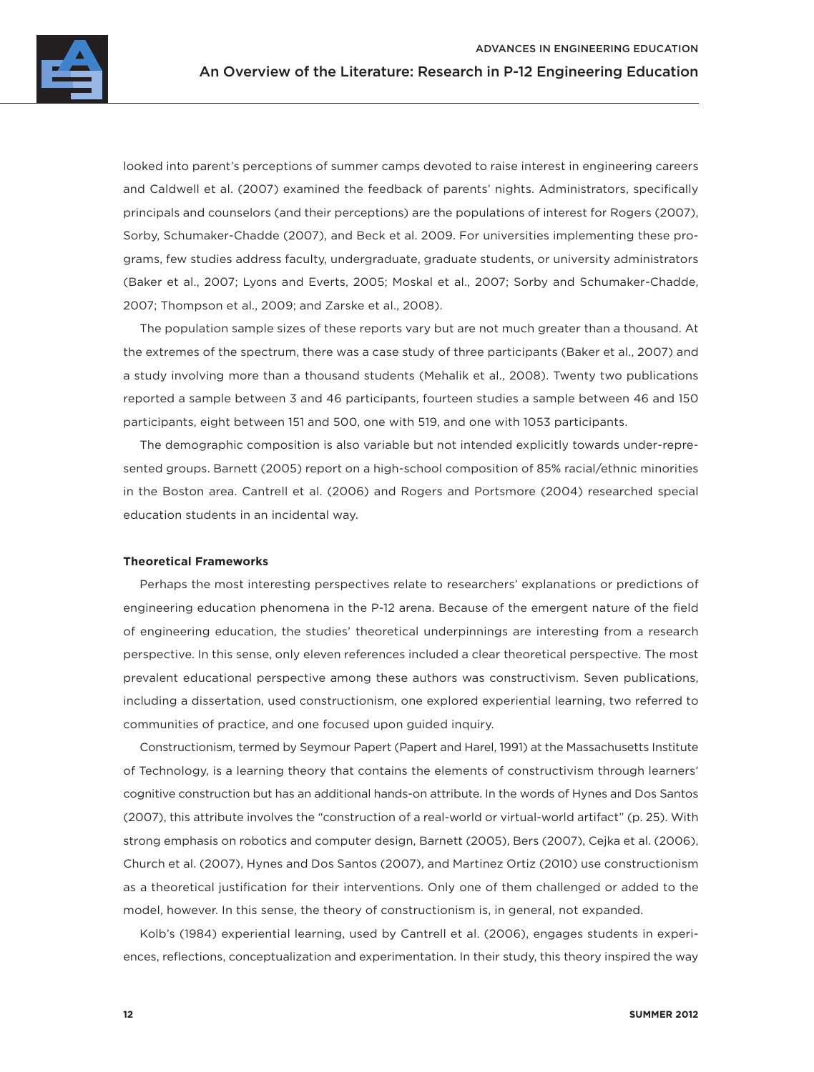

looked into parent's perceptions of summer camps devoted to raise interest in engineering careers and Caldwell et al. (2007) examined the feedback of parents' nights. Administrators, specifically principals and counselors (and their perceptions) are the populations of interest for Rogers (2007), Sorby, Schumaker-Chadde (2007), and Beck et al. 2009. For universities implementing these programs, few studies address faculty, undergraduate, graduate students, or university administrators (Baker et al., 2007; Lyons and Everts, 2005; Moskal et al., 2007; Sorby and Schumaker-Chadde, 2007; Thompson et al., 2009; and Zarske et al., 2008).

The population sample sizes of these reports vary but are not much greater than a thousand. At the extremes of the spectrum, there was a case study of three participants (Baker et al., 2007) and a study involving more than a thousand students (Mehalik et al., 2008). Twenty two publications reported a sample between 3 and 46 participants, fourteen studies a sample between 46 and 150 participants, eight between 151 and 500, one with 519, and one with 1053 participants.

The demographic composition is also variable but not intended explicitly towards under-represented groups. Barnett (2005) report on a high-school composition of 85% racial/ethnic minorities in the Boston area. Cantrell et al. (2006) and Rogers and Portsmore (2004) researched special education students in an incidental way.

### **Theoretical Frameworks**

Perhaps the most interesting perspectives relate to researchers' explanations or predictions of engineering education phenomena in the P-12 arena. Because of the emergent nature of the field of engineering education, the studies' theoretical underpinnings are interesting from a research perspective. In this sense, only eleven references included a clear theoretical perspective. The most prevalent educational perspective among these authors was constructivism. Seven publications, including a dissertation, used constructionism, one explored experiential learning, two referred to communities of practice, and one focused upon guided inquiry.

Constructionism, termed by Seymour Papert (Papert and Harel, 1991) at the Massachusetts Institute of Technology, is a learning theory that contains the elements of constructivism through learners' cognitive construction but has an additional hands-on attribute. In the words of Hynes and Dos Santos (2007), this attribute involves the "construction of a real-world or virtual-world artifact" (p. 25). With strong emphasis on robotics and computer design, Barnett (2005), Bers (2007), Cejka et al. (2006), Church et al. (2007), Hynes and Dos Santos (2007), and Martinez Ortiz (2010) use constructionism as a theoretical justification for their interventions. Only one of them challenged or added to the model, however. In this sense, the theory of constructionism is, in general, not expanded.

Kolb's (1984) experiential learning, used by Cantrell et al. (2006), engages students in experiences, reflections, conceptualization and experimentation. In their study, this theory inspired the way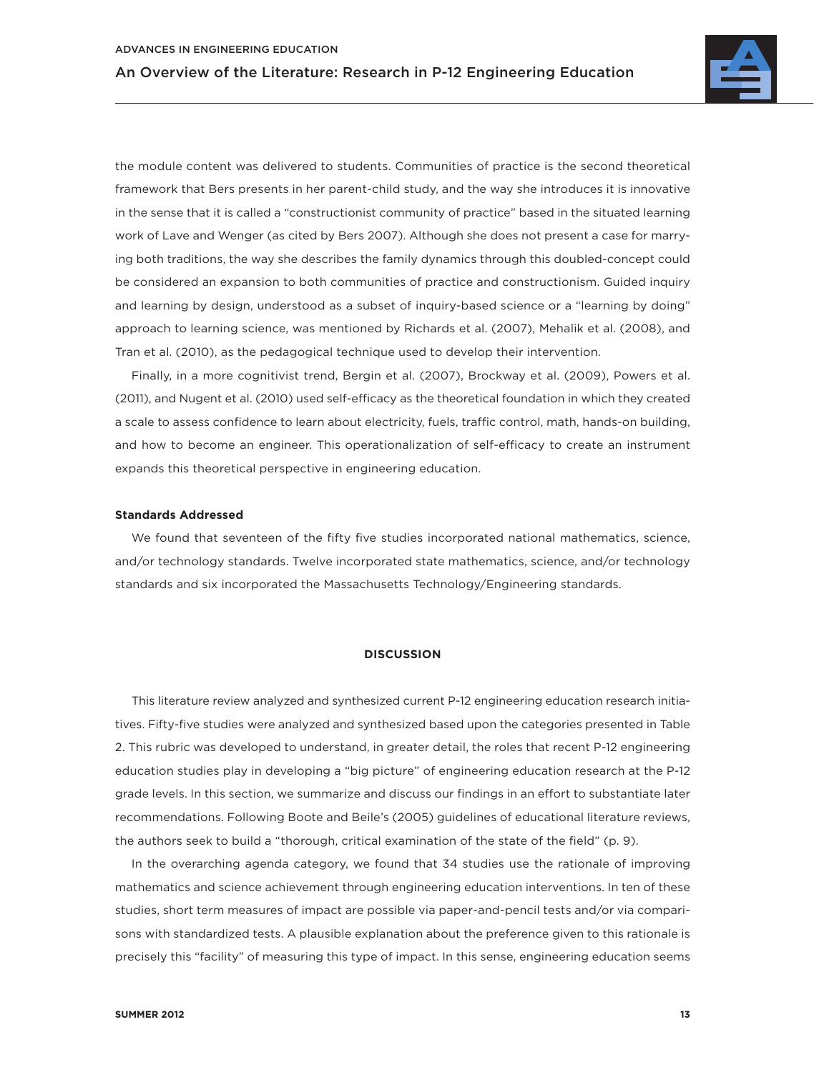

the module content was delivered to students. Communities of practice is the second theoretical framework that Bers presents in her parent-child study, and the way she introduces it is innovative in the sense that it is called a "constructionist community of practice" based in the situated learning work of Lave and Wenger (as cited by Bers 2007). Although she does not present a case for marrying both traditions, the way she describes the family dynamics through this doubled-concept could be considered an expansion to both communities of practice and constructionism. Guided inquiry and learning by design, understood as a subset of inquiry-based science or a "learning by doing" approach to learning science, was mentioned by Richards et al. (2007), Mehalik et al. (2008), and Tran et al. (2010), as the pedagogical technique used to develop their intervention.

Finally, in a more cognitivist trend, Bergin et al. (2007), Brockway et al. (2009), Powers et al. (2011), and Nugent et al. (2010) used self-efficacy as the theoretical foundation in which they created a scale to assess confidence to learn about electricity, fuels, traffic control, math, hands-on building, and how to become an engineer. This operationalization of self-efficacy to create an instrument expands this theoretical perspective in engineering education.

### **Standards Addressed**

We found that seventeen of the fifty five studies incorporated national mathematics, science, and/or technology standards. Twelve incorporated state mathematics, science, and/or technology standards and six incorporated the Massachusetts Technology/Engineering standards.

#### **DISCUSSION**

This literature review analyzed and synthesized current P-12 engineering education research initiatives. Fifty-five studies were analyzed and synthesized based upon the categories presented in Table 2. This rubric was developed to understand, in greater detail, the roles that recent P-12 engineering education studies play in developing a "big picture" of engineering education research at the P-12 grade levels. In this section, we summarize and discuss our findings in an effort to substantiate later recommendations. Following Boote and Beile's (2005) guidelines of educational literature reviews, the authors seek to build a "thorough, critical examination of the state of the field" (p. 9).

In the overarching agenda category, we found that 34 studies use the rationale of improving mathematics and science achievement through engineering education interventions. In ten of these studies, short term measures of impact are possible via paper-and-pencil tests and/or via comparisons with standardized tests. A plausible explanation about the preference given to this rationale is precisely this "facility" of measuring this type of impact. In this sense, engineering education seems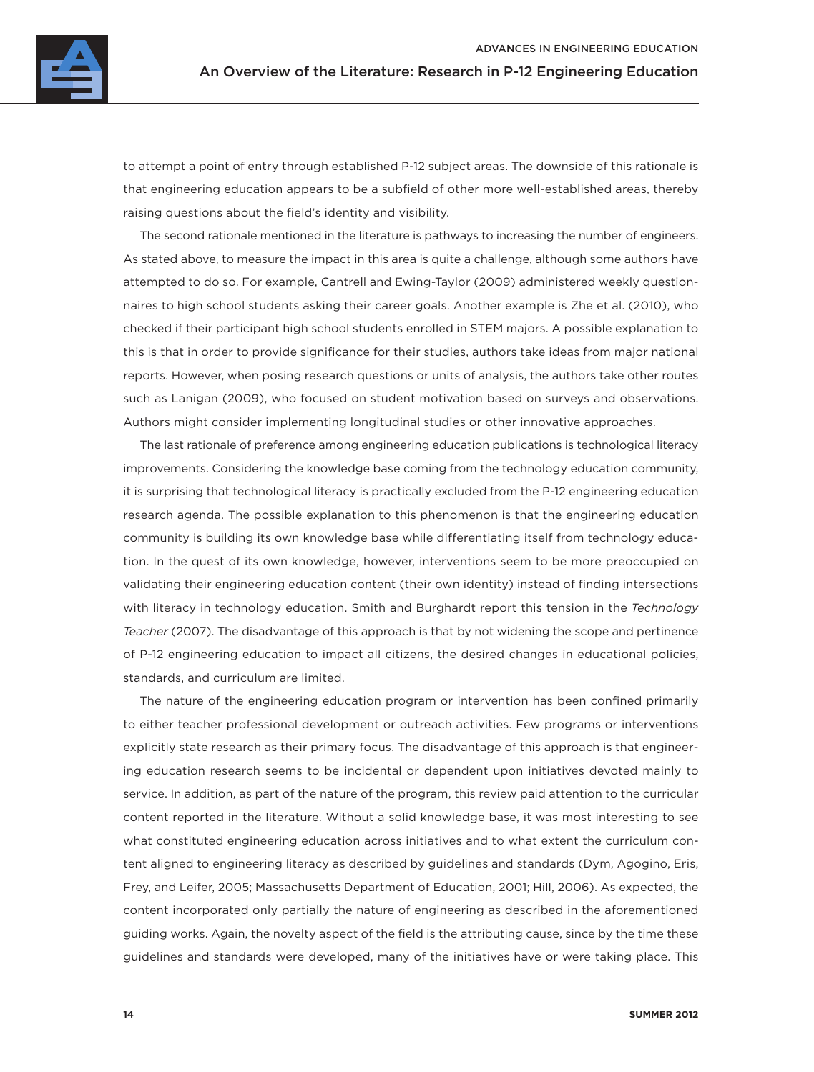

to attempt a point of entry through established P-12 subject areas. The downside of this rationale is that engineering education appears to be a subfield of other more well-established areas, thereby raising questions about the field's identity and visibility.

The second rationale mentioned in the literature is pathways to increasing the number of engineers. As stated above, to measure the impact in this area is quite a challenge, although some authors have attempted to do so. For example, Cantrell and Ewing-Taylor (2009) administered weekly questionnaires to high school students asking their career goals. Another example is Zhe et al. (2010), who checked if their participant high school students enrolled in STEM majors. A possible explanation to this is that in order to provide significance for their studies, authors take ideas from major national reports. However, when posing research questions or units of analysis, the authors take other routes such as Lanigan (2009), who focused on student motivation based on surveys and observations. Authors might consider implementing longitudinal studies or other innovative approaches.

The last rationale of preference among engineering education publications is technological literacy improvements. Considering the knowledge base coming from the technology education community, it is surprising that technological literacy is practically excluded from the P-12 engineering education research agenda. The possible explanation to this phenomenon is that the engineering education community is building its own knowledge base while differentiating itself from technology education. In the quest of its own knowledge, however, interventions seem to be more preoccupied on validating their engineering education content (their own identity) instead of finding intersections with literacy in technology education. Smith and Burghardt report this tension in the *Technology Teacher* (2007). The disadvantage of this approach is that by not widening the scope and pertinence of P-12 engineering education to impact all citizens, the desired changes in educational policies, standards, and curriculum are limited.

The nature of the engineering education program or intervention has been confined primarily to either teacher professional development or outreach activities. Few programs or interventions explicitly state research as their primary focus. The disadvantage of this approach is that engineering education research seems to be incidental or dependent upon initiatives devoted mainly to service. In addition, as part of the nature of the program, this review paid attention to the curricular content reported in the literature. Without a solid knowledge base, it was most interesting to see what constituted engineering education across initiatives and to what extent the curriculum content aligned to engineering literacy as described by guidelines and standards (Dym, Agogino, Eris, Frey, and Leifer, 2005; Massachusetts Department of Education, 2001; Hill, 2006). As expected, the content incorporated only partially the nature of engineering as described in the aforementioned guiding works. Again, the novelty aspect of the field is the attributing cause, since by the time these guidelines and standards were developed, many of the initiatives have or were taking place. This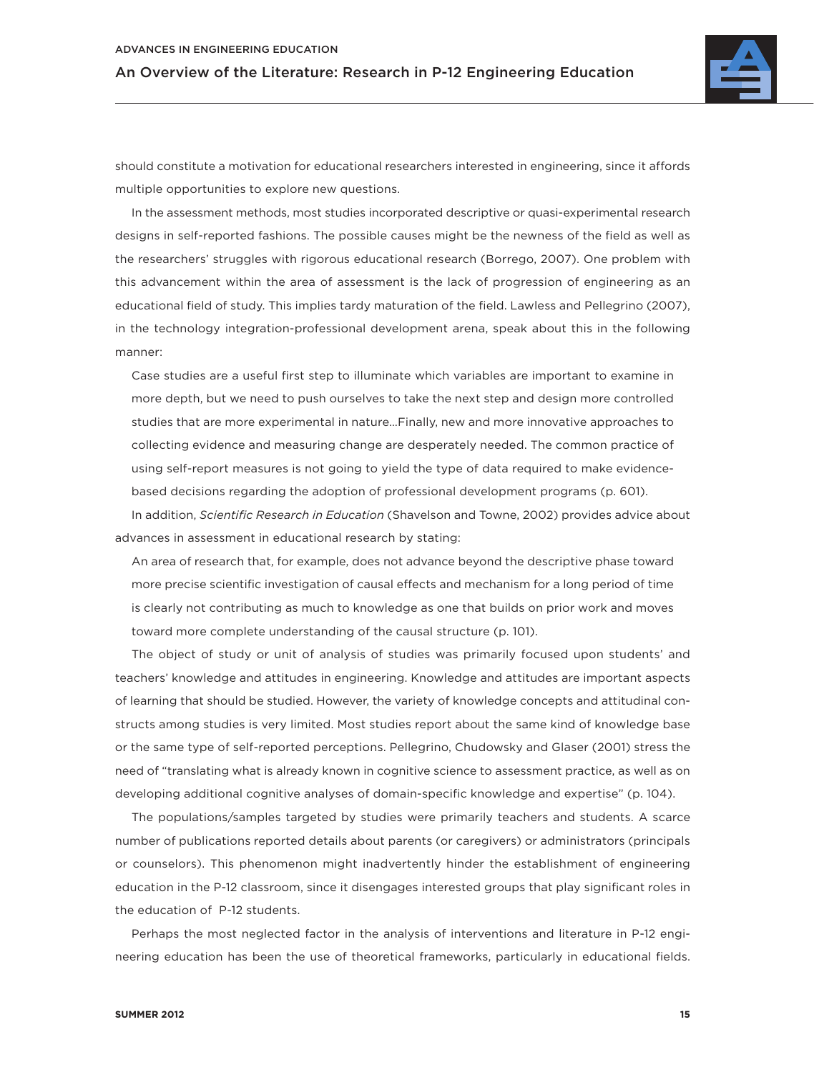

should constitute a motivation for educational researchers interested in engineering, since it affords multiple opportunities to explore new questions.

In the assessment methods, most studies incorporated descriptive or quasi-experimental research designs in self-reported fashions. The possible causes might be the newness of the field as well as the researchers' struggles with rigorous educational research (Borrego, 2007). One problem with this advancement within the area of assessment is the lack of progression of engineering as an educational field of study. This implies tardy maturation of the field. Lawless and Pellegrino (2007), in the technology integration-professional development arena, speak about this in the following manner:

Case studies are a useful first step to illuminate which variables are important to examine in more depth, but we need to push ourselves to take the next step and design more controlled studies that are more experimental in nature…Finally, new and more innovative approaches to collecting evidence and measuring change are desperately needed. The common practice of using self-report measures is not going to yield the type of data required to make evidencebased decisions regarding the adoption of professional development programs (p. 601).

In addition, *Scientific Research in Education* (Shavelson and Towne, 2002) provides advice about advances in assessment in educational research by stating:

An area of research that, for example, does not advance beyond the descriptive phase toward more precise scientific investigation of causal effects and mechanism for a long period of time is clearly not contributing as much to knowledge as one that builds on prior work and moves toward more complete understanding of the causal structure (p. 101).

The object of study or unit of analysis of studies was primarily focused upon students' and teachers' knowledge and attitudes in engineering. Knowledge and attitudes are important aspects of learning that should be studied. However, the variety of knowledge concepts and attitudinal constructs among studies is very limited. Most studies report about the same kind of knowledge base or the same type of self-reported perceptions. Pellegrino, Chudowsky and Glaser (2001) stress the need of "translating what is already known in cognitive science to assessment practice, as well as on developing additional cognitive analyses of domain-specific knowledge and expertise" (p. 104).

The populations/samples targeted by studies were primarily teachers and students. A scarce number of publications reported details about parents (or caregivers) or administrators (principals or counselors). This phenomenon might inadvertently hinder the establishment of engineering education in the P-12 classroom, since it disengages interested groups that play significant roles in the education of P-12 students.

Perhaps the most neglected factor in the analysis of interventions and literature in P-12 engineering education has been the use of theoretical frameworks, particularly in educational fields.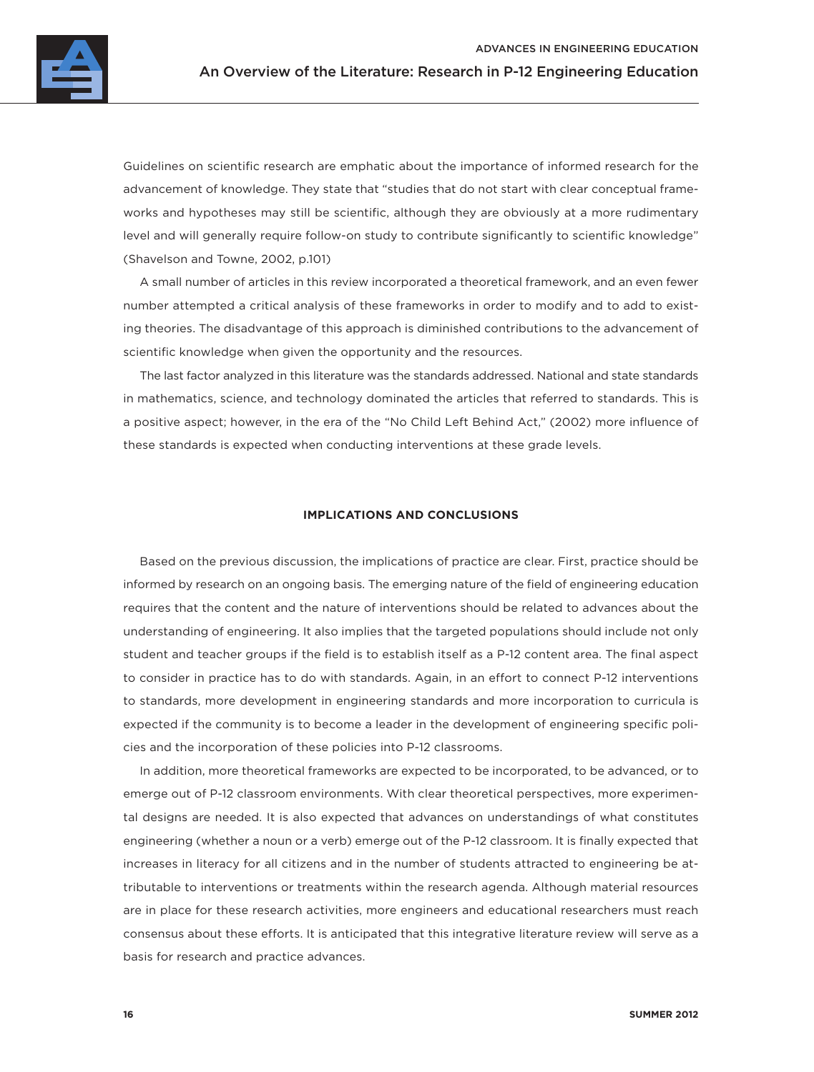

Guidelines on scientific research are emphatic about the importance of informed research for the advancement of knowledge. They state that "studies that do not start with clear conceptual frameworks and hypotheses may still be scientific, although they are obviously at a more rudimentary level and will generally require follow-on study to contribute significantly to scientific knowledge" (Shavelson and Towne, 2002, p.101)

A small number of articles in this review incorporated a theoretical framework, and an even fewer number attempted a critical analysis of these frameworks in order to modify and to add to existing theories. The disadvantage of this approach is diminished contributions to the advancement of scientific knowledge when given the opportunity and the resources.

The last factor analyzed in this literature was the standards addressed. National and state standards in mathematics, science, and technology dominated the articles that referred to standards. This is a positive aspect; however, in the era of the "No Child Left Behind Act," (2002) more influence of these standards is expected when conducting interventions at these grade levels.

### **IMPLICATIONS AND CONCLUSIONS**

Based on the previous discussion, the implications of practice are clear. First, practice should be informed by research on an ongoing basis. The emerging nature of the field of engineering education requires that the content and the nature of interventions should be related to advances about the understanding of engineering. It also implies that the targeted populations should include not only student and teacher groups if the field is to establish itself as a P-12 content area. The final aspect to consider in practice has to do with standards. Again, in an effort to connect P-12 interventions to standards, more development in engineering standards and more incorporation to curricula is expected if the community is to become a leader in the development of engineering specific policies and the incorporation of these policies into P-12 classrooms.

In addition, more theoretical frameworks are expected to be incorporated, to be advanced, or to emerge out of P-12 classroom environments. With clear theoretical perspectives, more experimental designs are needed. It is also expected that advances on understandings of what constitutes engineering (whether a noun or a verb) emerge out of the P-12 classroom. It is finally expected that increases in literacy for all citizens and in the number of students attracted to engineering be attributable to interventions or treatments within the research agenda. Although material resources are in place for these research activities, more engineers and educational researchers must reach consensus about these efforts. It is anticipated that this integrative literature review will serve as a basis for research and practice advances.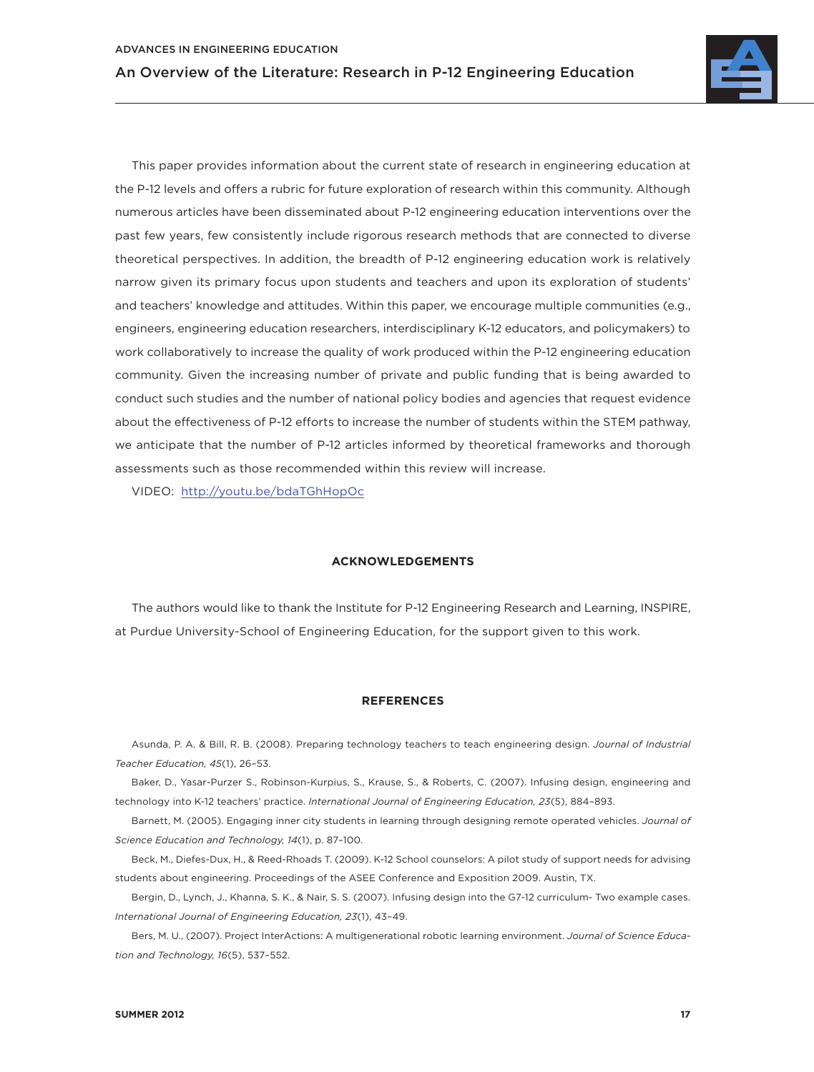

This paper provides information about the current state of research in engineering education at the P-12 levels and offers a rubric for future exploration of research within this community. Although numerous articles have been disseminated about P-12 engineering education interventions over the past few years, few consistently include rigorous research methods that are connected to diverse theoretical perspectives. In addition, the breadth of P-12 engineering education work is relatively narrow given its primary focus upon students and teachers and upon its exploration of students' and teachers' knowledge and attitudes. Within this paper, we encourage multiple communities (e.g., engineers, engineering education researchers, interdisciplinary K-12 educators, and policymakers) to work collaboratively to increase the quality of work produced within the P-12 engineering education community. Given the increasing number of private and public funding that is being awarded to conduct such studies and the number of national policy bodies and agencies that request evidence about the effectiveness of P-12 efforts to increase the number of students within the STEM pathway, we anticipate that the number of P-12 articles informed by theoretical frameworks and thorough assessments such as those recommended within this review will increase.

VIDEO: <http://youtu.be/bdaTGhHopOc>

### **ACKNOWLEDGEMENTS**

The authors would like to thank the Institute for P-12 Engineering Research and Learning, INSPIRE, at Purdue University-School of Engineering Education, for the support given to this work.

### **REFERENCES**

Asunda, P. A. & Bill, R. B. (2008). Preparing technology teachers to teach engineering design. *Journal of Industrial Teacher Education, 45*(1), 26–53.

Baker, D., Yasar-Purzer S., Robinson-Kurpius, S., Krause, S., & Roberts, C. (2007). Infusing design, engineering and technology into K-12 teachers' practice. *International Journal of Engineering Education, 23*(5), 884–893.

Barnett, M. (2005). Engaging inner city students in learning through designing remote operated vehicles. *Journal of Science Education and Technology, 14*(1), p. 87–100.

Beck, M., Diefes-Dux, H., & Reed-Rhoads T. (2009). K-12 School counselors: A pilot study of support needs for advising students about engineering. Proceedings of the ASEE Conference and Exposition 2009. Austin, TX.

Bergin, D., Lynch, J., Khanna, S. K., & Nair, S. S. (2007). Infusing design into the G7-12 curriculum- Two example cases. *International Journal of Engineering Education, 23*(1), 43–49.

Bers, M. U., (2007). Project InterActions: A multigenerational robotic learning environment. *Journal of Science Education and Technology, 16*(5), 537–552.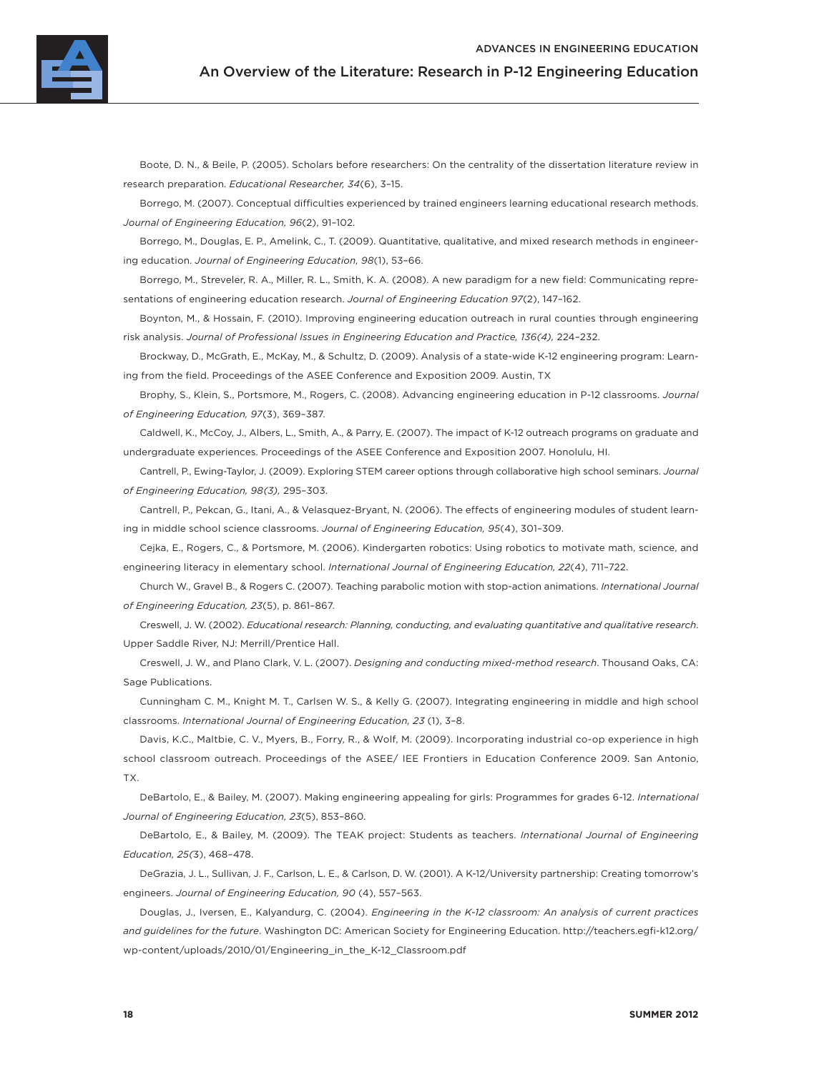

Boote, D. N., & Beile, P. (2005). Scholars before researchers: On the centrality of the dissertation literature review in research preparation. *Educational Researcher, 34*(6), 3–15.

Borrego, M. (2007). Conceptual difficulties experienced by trained engineers learning educational research methods. *Journal of Engineering Education, 96*(2), 91–102.

Borrego, M., Douglas, E. P., Amelink, C., T. (2009). Quantitative, qualitative, and mixed research methods in engineering education. *Journal of Engineering Education, 98*(1), 53–66.

Borrego, M., Streveler, R. A., Miller, R. L., Smith, K. A. (2008). A new paradigm for a new field: Communicating representations of engineering education research. *Journal of Engineering Education 97*(2), 147–162.

Boynton, M., & Hossain, F. (2010). Improving engineering education outreach in rural counties through engineering risk analysis. *Journal of Professional Issues in Engineering Education and Practice, 136(4),* 224–232.

Brockway, D., McGrath, E., McKay, M., & Schultz, D. (2009). Analysis of a state-wide K-12 engineering program: Learning from the field. Proceedings of the ASEE Conference and Exposition 2009. Austin, TX

Brophy, S., Klein, S., Portsmore, M., Rogers, C. (2008). Advancing engineering education in P-12 classrooms. *Journal of Engineering Education, 97*(3), 369–387.

Caldwell, K., McCoy, J., Albers, L., Smith, A., & Parry, E. (2007). The impact of K-12 outreach programs on graduate and undergraduate experiences. Proceedings of the ASEE Conference and Exposition 2007. Honolulu, HI.

Cantrell, P., Ewing-Taylor, J. (2009). Exploring STEM career options through collaborative high school seminars. *Journal of Engineering Education, 98(3),* 295–303.

Cantrell, P., Pekcan, G., Itani, A., & Velasquez-Bryant, N. (2006). The effects of engineering modules of student learning in middle school science classrooms. *Journal of Engineering Education, 95*(4), 301–309.

Cejka, E., Rogers, C., & Portsmore, M. (2006). Kindergarten robotics: Using robotics to motivate math, science, and engineering literacy in elementary school. *International Journal of Engineering Education, 22*(4), 711–722.

Church W., Gravel B., & Rogers C. (2007). Teaching parabolic motion with stop-action animations. *International Journal of Engineering Education, 23*(5), p. 861–867.

Creswell, J. W. (2002). *Educational research: Planning, conducting, and evaluating quantitative and qualitative research*. Upper Saddle River, NJ: Merrill/Prentice Hall.

Creswell, J. W., and Plano Clark, V. L. (2007). *Designing and conducting mixed-method research*. Thousand Oaks, CA: Sage Publications.

Cunningham C. M., Knight M. T., Carlsen W. S., & Kelly G. (2007). Integrating engineering in middle and high school classrooms. *International Journal of Engineering Education, 23* (1), 3–8.

Davis, K.C., Maltbie, C. V., Myers, B., Forry, R., & Wolf, M. (2009). Incorporating industrial co-op experience in high school classroom outreach. Proceedings of the ASEE/ IEE Frontiers in Education Conference 2009. San Antonio, TX.

DeBartolo, E., & Bailey, M. (2007). Making engineering appealing for girls: Programmes for grades 6-12. *International Journal of Engineering Education, 23*(5), 853–860.

DeBartolo, E., & Bailey, M. (2009). The TEAK project: Students as teachers. *International Journal of Engineering Education, 25(*3), 468–478.

DeGrazia, J. L., Sullivan, J. F., Carlson, L. E., & Carlson, D. W. (2001). A K-12/University partnership: Creating tomorrow's engineers. *Journal of Engineering Education, 90* (4), 557–563.

Douglas, J., Iversen, E., Kalyandurg, C. (2004). *Engineering in the K-12 classroom: An analysis of current practices and guidelines for the future*. Washington DC: American Society for Engineering Education. http://teachers.egfi -k12.org/ wp-content/uploads/2010/01/Engineering\_in\_the\_K-12\_Classroom.pdf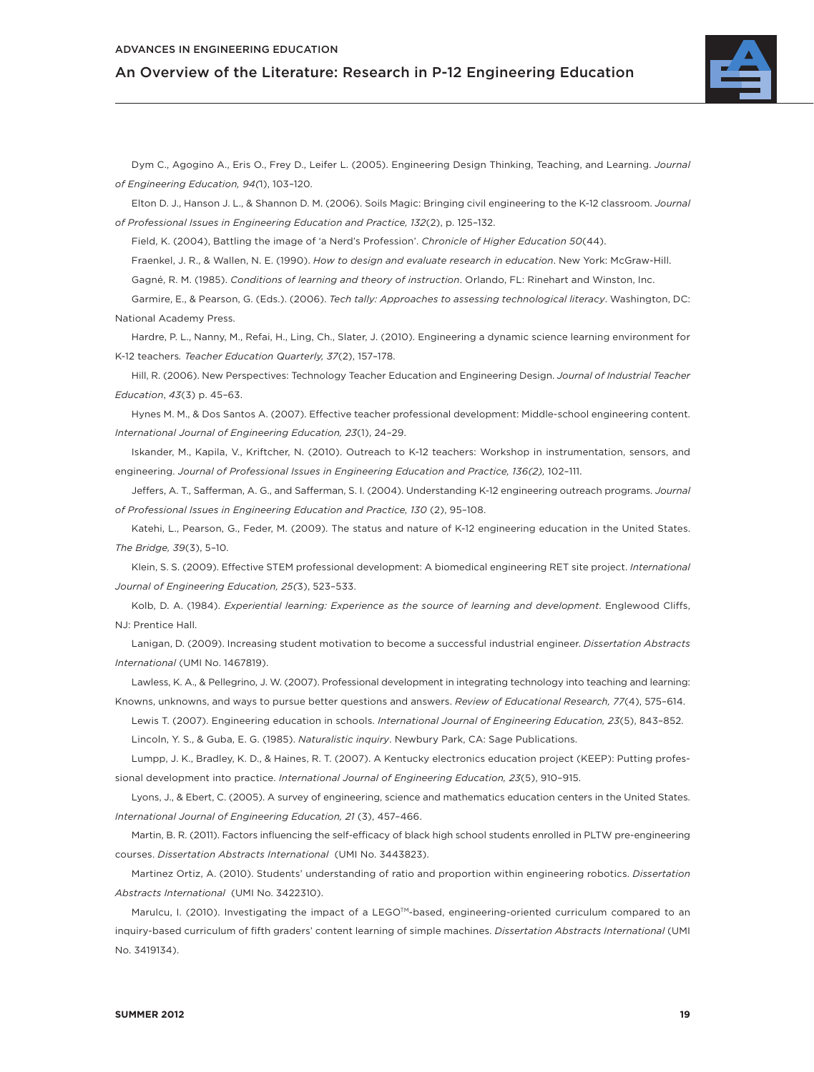

Dym C., Agogino A., Eris O., Frey D., Leifer L. (2005). Engineering Design Thinking, Teaching, and Learning. *Journal of Engineering Education, 94(*1), 103–120.

Elton D. J., Hanson J. L., & Shannon D. M. (2006). Soils Magic: Bringing civil engineering to the K-12 classroom. *Journal of Professional Issues in Engineering Education and Practice, 132*(2), p. 125–132.

Field, K. (2004), Battling the image of 'a Nerd's Profession'. *Chronicle of Higher Education 50*(44).

Fraenkel, J. R., & Wallen, N. E. (1990). *How to design and evaluate research in education*. New York: McGraw-Hill.

Gagné, R. M. (1985). *Conditions of learning and theory of instruction*. Orlando, FL: Rinehart and Winston, Inc.

Garmire, E., & Pearson, G. (Eds.). (2006). *Tech tally: Approaches to assessing technological literacy*. Washington, DC: National Academy Press.

Hardre, P. L., Nanny, M., Refai, H., Ling, Ch., Slater, J. (2010). Engineering a dynamic science learning environment for K-12 teachers*. Teacher Education Quarterly, 37*(2), 157–178.

Hill, R. (2006). New Perspectives: Technology Teacher Education and Engineering Design. *Journal of Industrial Teacher Education*, *43*(3) p. 45–63.

Hynes M. M., & Dos Santos A. (2007). Effective teacher professional development: Middle-school engineering content. *International Journal of Engineering Education, 23*(1), 24–29.

Iskander, M., Kapila, V., Kriftcher, N. (2010). Outreach to K-12 teachers: Workshop in instrumentation, sensors, and engineering. *Journal of Professional Issues in Engineering Education and Practice, 136(2),* 102–111.

Jeffers, A. T., Safferman, A. G., and Safferman, S. I. (2004). Understanding K-12 engineering outreach programs. *Journal*  of Professional Issues in Engineering Education and Practice, 130 (2), 95-108.

Katehi, L., Pearson, G., Feder, M. (2009). The status and nature of K-12 engineering education in the United States. *The Bridge, 39*(3), 5–10.

Klein, S. S. (2009). Effective STEM professional development: A biomedical engineering RET site project. *International Journal of Engineering Education, 25(*3), 523–533.

Kolb, D. A. (1984). *Experiential learning: Experience as the source of learning and development*. Englewood Cliffs, NJ: Prentice Hall.

Lanigan, D. (2009). Increasing student motivation to become a successful industrial engineer. *Dissertation Abstracts International* (UMI No. 1467819).

Lawless, K. A., & Pellegrino, J. W. (2007). Professional development in integrating technology into teaching and learning: Knowns, unknowns, and ways to pursue better questions and answers. *Review of Educational Research, 77*(4), 575–614.

Lewis T. (2007). Engineering education in schools. *International Journal of Engineering Education, 23*(5), 843–852. Lincoln, Y. S., & Guba, E. G. (1985). *Naturalistic inquiry*. Newbury Park, CA: Sage Publications.

Lumpp, J. K., Bradley, K. D., & Haines, R. T. (2007). A Kentucky electronics education project (KEEP): Putting professional development into practice. *International Journal of Engineering Education, 23*(5), 910–915.

Lyons, J., & Ebert, C. (2005). A survey of engineering, science and mathematics education centers in the United States. *International Journal of Engineering Education, 21* (3), 457–466.

Martin, B. R. (2011). Factors influencing the self-efficacy of black high school students enrolled in PLTW pre-engineering courses. *Dissertation Abstracts International* (UMI No. 3443823).

Martinez Ortiz, A. (2010). Students' understanding of ratio and proportion within engineering robotics. *Dissertation Abstracts International* (UMI No. 3422310).

Marulcu, I. (2010). Investigating the impact of a LEGOTM-based, engineering-oriented curriculum compared to an inquiry-based curriculum of fifth graders' content learning of simple machines. *Dissertation Abstracts International* (UMI No. 3419134).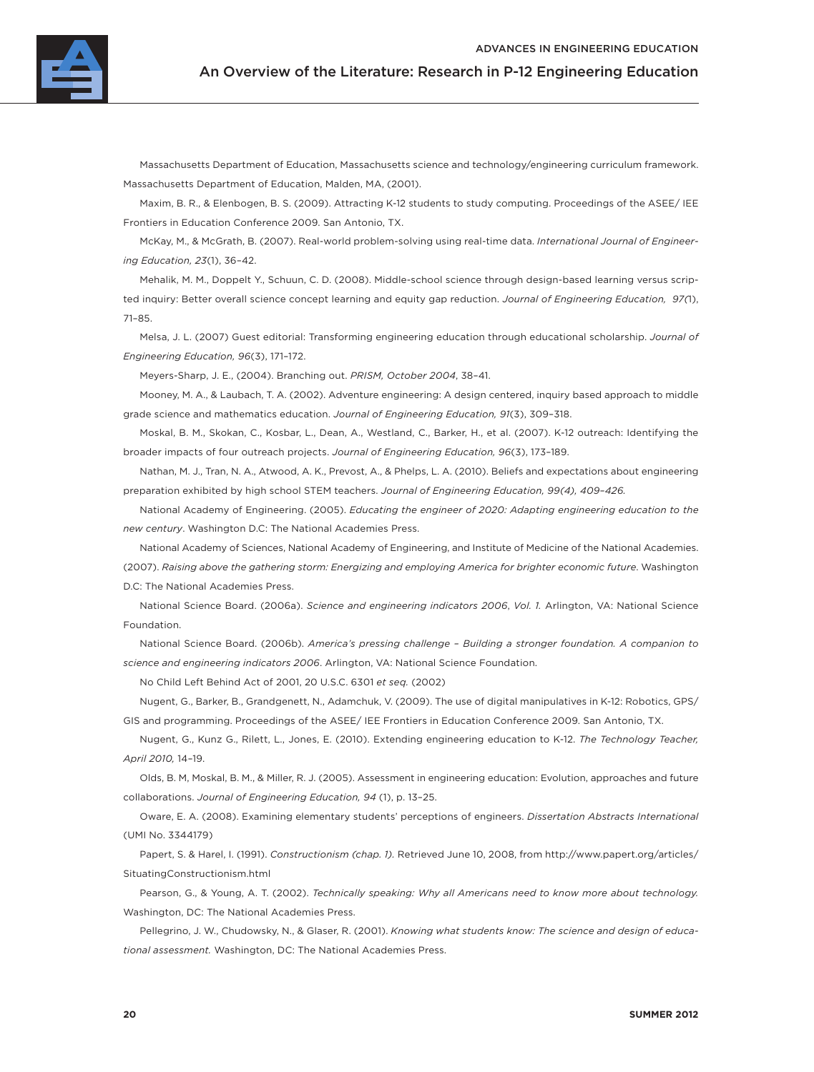

Massachusetts Department of Education, Massachusetts science and technology/engineering curriculum framework. Massachusetts Department of Education, Malden, MA, (2001).

Maxim, B. R., & Elenbogen, B. S. (2009). Attracting K-12 students to study computing. Proceedings of the ASEE/ IEE Frontiers in Education Conference 2009. San Antonio, TX.

McKay, M., & McGrath, B. (2007). Real-world problem-solving using real-time data. *International Journal of Engineering Education, 23*(1), 36–42.

Mehalik, M. M., Doppelt Y., Schuun, C. D. (2008). Middle-school science through design-based learning versus scripted inquiry: Better overall science concept learning and equity gap reduction. *Journal of Engineering Education, 97(*1), 71–85.

Melsa, J. L. (2007) Guest editorial: Transforming engineering education through educational scholarship. *Journal of Engineering Education, 96*(3), 171–172.

Meyers-Sharp, J. E., (2004). Branching out. *PRISM, October 2004*, 38–41.

Mooney, M. A., & Laubach, T. A. (2002). Adventure engineering: A design centered, inquiry based approach to middle grade science and mathematics education. *Journal of Engineering Education, 91*(3), 309–318.

Moskal, B. M., Skokan, C., Kosbar, L., Dean, A., Westland, C., Barker, H., et al. (2007). K-12 outreach: Identifying the broader impacts of four outreach projects. *Journal of Engineering Education, 96*(3), 173–189.

Nathan, M. J., Tran, N. A., Atwood, A. K., Prevost, A., & Phelps, L. A. (2010). Beliefs and expectations about engineering preparation exhibited by high school STEM teachers. *Journal of Engineering Education, 99(4), 409*–*426.*

National Academy of Engineering. (2005). *Educating the engineer of 2020: Adapting engineering education to the new century*. Washington D.C: The National Academies Press.

National Academy of Sciences, National Academy of Engineering, and Institute of Medicine of the National Academies. (2007). *Raising above the gathering storm: Energizing and employing America for brighter economic future*. Washington D.C: The National Academies Press.

National Science Board. (2006a). *Science and engineering indicators 2006*, *Vol. 1.* Arlington, VA: National Science Foundation.

National Science Board. (2006b). *America's pressing challenge – Building a stronger foundation. A companion to science and engineering indicators 2006*. Arlington, VA: National Science Foundation.

No Child Left Behind Act of 2001, 20 U.S.C. 6301 *et seq.* (2002)

Nugent, G., Barker, B., Grandgenett, N., Adamchuk, V. (2009). The use of digital manipulatives in K-12: Robotics, GPS/ GIS and programming. Proceedings of the ASEE/ IEE Frontiers in Education Conference 2009. San Antonio, TX.

Nugent, G., Kunz G., Rilett, L., Jones, E. (2010). Extending engineering education to K-12. *The Technology Teacher, April 2010,* 14–19.

Olds, B. M, Moskal, B. M., & Miller, R. J. (2005). Assessment in engineering education: Evolution, approaches and future collaborations. *Journal of Engineering Education, 94* (1), p. 13–25.

Oware, E. A. (2008). Examining elementary students' perceptions of engineers. *Dissertation Abstracts International* (UMI No. 3344179)

Papert, S. & Harel, I. (1991). *Constructionism (chap. 1).* Retrieved June 10, 2008, from http://www.papert.org/articles/ SituatingConstructionism.html

Pearson, G., & Young, A. T. (2002). *Technically speaking: Why all Americans need to know more about technology.* Washington, DC: The National Academies Press.

Pellegrino, J. W., Chudowsky, N., & Glaser, R. (2001). *Knowing what students know: The science and design of educational assessment.* Washington, DC: The National Academies Press.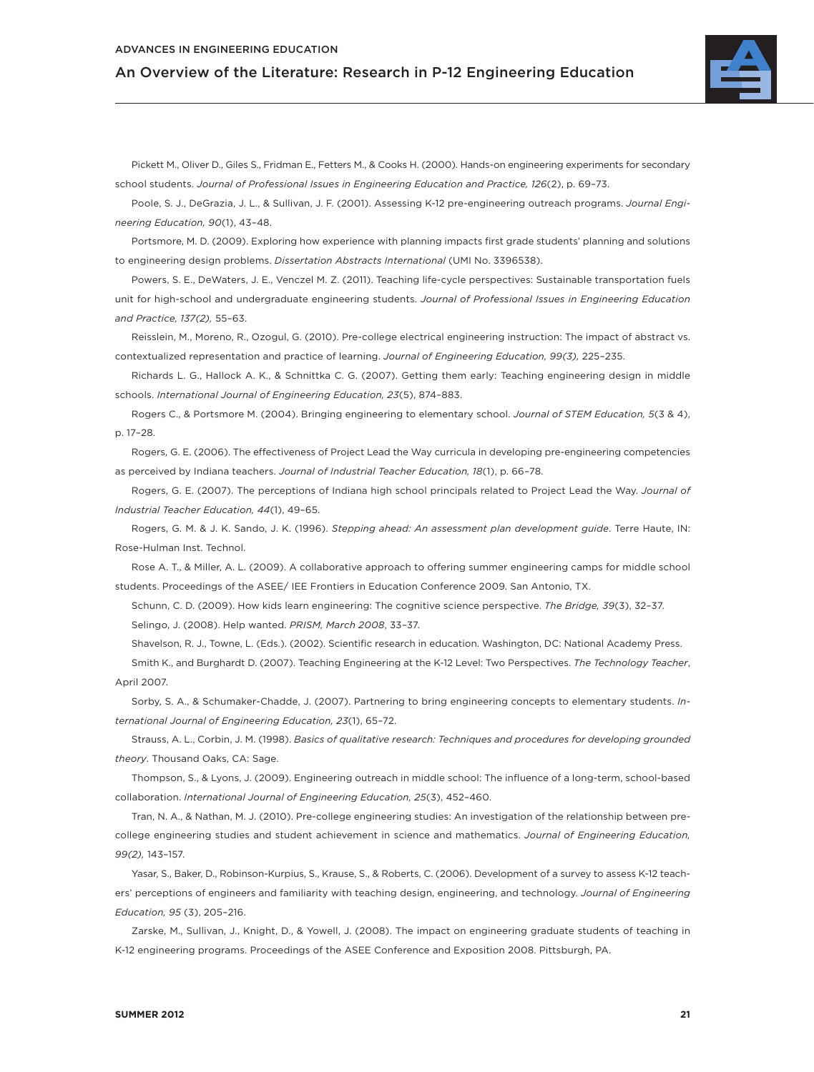

Pickett M., Oliver D., Giles S., Fridman E., Fetters M., & Cooks H. (2000). Hands-on engineering experiments for secondary school students. *Journal of Professional Issues in Engineering Education and Practice, 126*(2), p. 69–73.

Poole, S. J., DeGrazia, J. L., & Sullivan, J. F. (2001). Assessing K-12 pre-engineering outreach programs. *Journal Engineering Education, 90*(1), 43–48.

Portsmore, M. D. (2009). Exploring how experience with planning impacts first grade students' planning and solutions to engineering design problems. *Dissertation Abstracts International* (UMI No. 3396538).

Powers, S. E., DeWaters, J. E., Venczel M. Z. (2011). Teaching life-cycle perspectives: Sustainable transportation fuels unit for high-school and undergraduate engineering students. *Journal of Professional Issues in Engineering Education and Practice, 137(2),* 55–63.

Reisslein, M., Moreno, R., Ozogul, G. (2010). Pre-college electrical engineering instruction: The impact of abstract vs. contextualized representation and practice of learning. *Journal of Engineering Education, 99(3),* 225–235.

Richards L. G., Hallock A. K., & Schnittka C. G. (2007). Getting them early: Teaching engineering design in middle schools. *International Journal of Engineering Education, 23*(5), 874–883.

Rogers C., & Portsmore M. (2004). Bringing engineering to elementary school. *Journal of STEM Education, 5*(3 & 4), p. 17–28.

Rogers, G. E. (2006). The effectiveness of Project Lead the Way curricula in developing pre-engineering competencies as perceived by Indiana teachers. *Journal of Industrial Teacher Education, 18*(1), p. 66–78.

Rogers, G. E. (2007). The perceptions of Indiana high school principals related to Project Lead the Way. *Journal of Industrial Teacher Education, 44*(1), 49–65.

Rogers, G. M. & J. K. Sando, J. K. (1996). *Stepping ahead: An assessment plan development guide*. Terre Haute, IN: Rose-Hulman Inst. Technol.

Rose A. T., & Miller, A. L. (2009). A collaborative approach to offering summer engineering camps for middle school students. Proceedings of the ASEE/ IEE Frontiers in Education Conference 2009. San Antonio, TX.

Schunn, C. D. (2009). How kids learn engineering: The cognitive science perspective. *The Bridge, 39*(3), 32–37. Selingo, J. (2008). Help wanted. *PRISM, March 2008*, 33–37.

Shavelson, R. J., Towne, L. (Eds.). (2002). Scientific research in education. Washington, DC: National Academy Press.

Smith K., and Burghardt D. (2007). Teaching Engineering at the K-12 Level: Two Perspectives. *The Technology Teacher*, April 2007.

Sorby, S. A., & Schumaker-Chadde, J. (2007). Partnering to bring engineering concepts to elementary students. *International Journal of Engineering Education, 23*(1), 65–72.

Strauss, A. L., Corbin, J. M. (1998). *Basics of qualitative research: Techniques and procedures for developing grounded theory*. Thousand Oaks, CA: Sage.

Thompson, S., & Lyons, J. (2009). Engineering outreach in middle school: The influence of a long-term, school-based collaboration. *International Journal of Engineering Education, 25*(3), 452–460.

Tran, N. A., & Nathan, M. J. (2010). Pre-college engineering studies: An investigation of the relationship between precollege engineering studies and student achievement in science and mathematics. *Journal of Engineering Education, 99(2),* 143–157.

Yasar, S., Baker, D., Robinson-Kurpius, S., Krause, S., & Roberts, C. (2006). Development of a survey to assess K-12 teachers' perceptions of engineers and familiarity with teaching design, engineering, and technology. *Journal of Engineering Education, 95* (3), 205–216.

Zarske, M., Sullivan, J., Knight, D., & Yowell, J. (2008). The impact on engineering graduate students of teaching in K-12 engineering programs. Proceedings of the ASEE Conference and Exposition 2008. Pittsburgh, PA.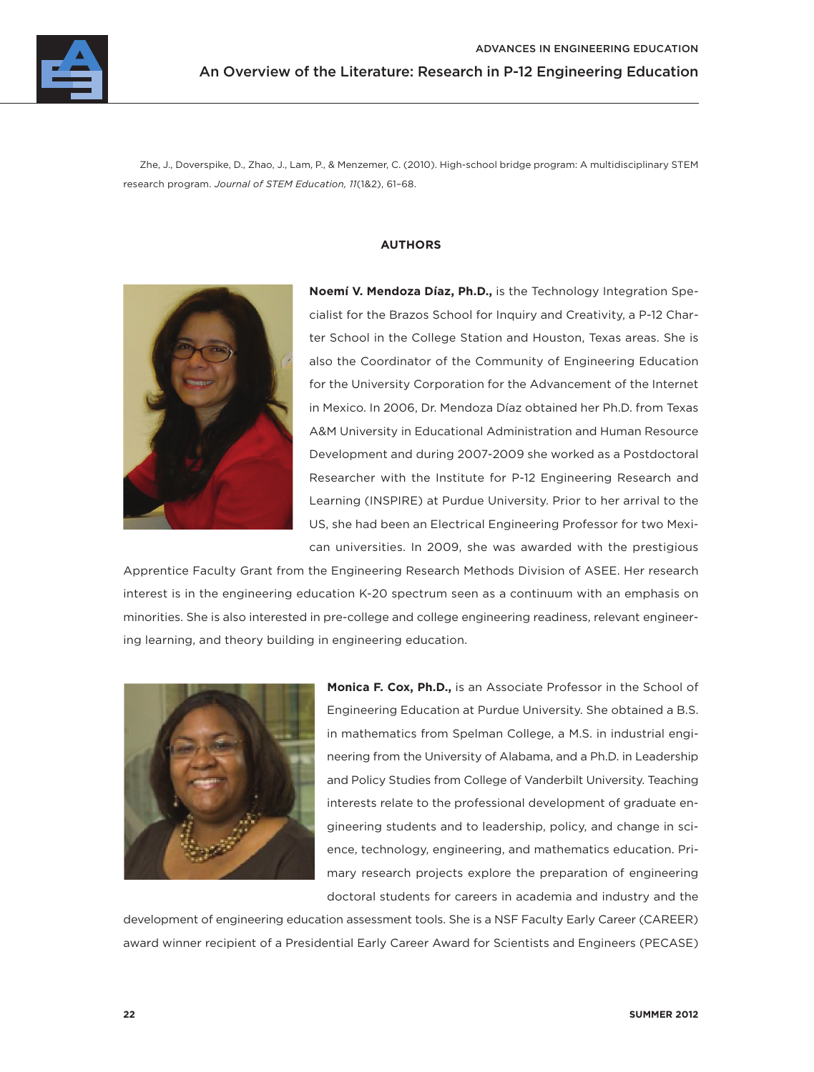

Zhe, J., Doverspike, D., Zhao, J., Lam, P., & Menzemer, C. (2010). High-school bridge program: A multidisciplinary STEM research program. *Journal of STEM Education, 11*(1&2), 61–68.

### **AUTHORS**



**Noemí V. Mendoza Díaz, Ph.D.,** is the Technology Integration Specialist for the Brazos School for Inquiry and Creativity, a P-12 Charter School in the College Station and Houston, Texas areas. She is also the Coordinator of the Community of Engineering Education for the University Corporation for the Advancement of the Internet in Mexico. In 2006, Dr. Mendoza Díaz obtained her Ph.D. from Texas A&M University in Educational Administration and Human Resource Development and during 2007-2009 she worked as a Postdoctoral Researcher with the Institute for P-12 Engineering Research and Learning (INSPIRE) at Purdue University. Prior to her arrival to the US, she had been an Electrical Engineering Professor for two Mexican universities. In 2009, she was awarded with the prestigious

Apprentice Faculty Grant from the Engineering Research Methods Division of ASEE. Her research interest is in the engineering education K-20 spectrum seen as a continuum with an emphasis on minorities. She is also interested in pre-college and college engineering readiness, relevant engineering learning, and theory building in engineering education.



**Monica F. Cox, Ph.D.,** is an Associate Professor in the School of Engineering Education at Purdue University. She obtained a B.S. in mathematics from Spelman College, a M.S. in industrial engineering from the University of Alabama, and a Ph.D. in Leadership and Policy Studies from College of Vanderbilt University. Teaching interests relate to the professional development of graduate engineering students and to leadership, policy, and change in science, technology, engineering, and mathematics education. Primary research projects explore the preparation of engineering doctoral students for careers in academia and industry and the

development of engineering education assessment tools. She is a NSF Faculty Early Career (CAREER) award winner recipient of a Presidential Early Career Award for Scientists and Engineers (PECASE)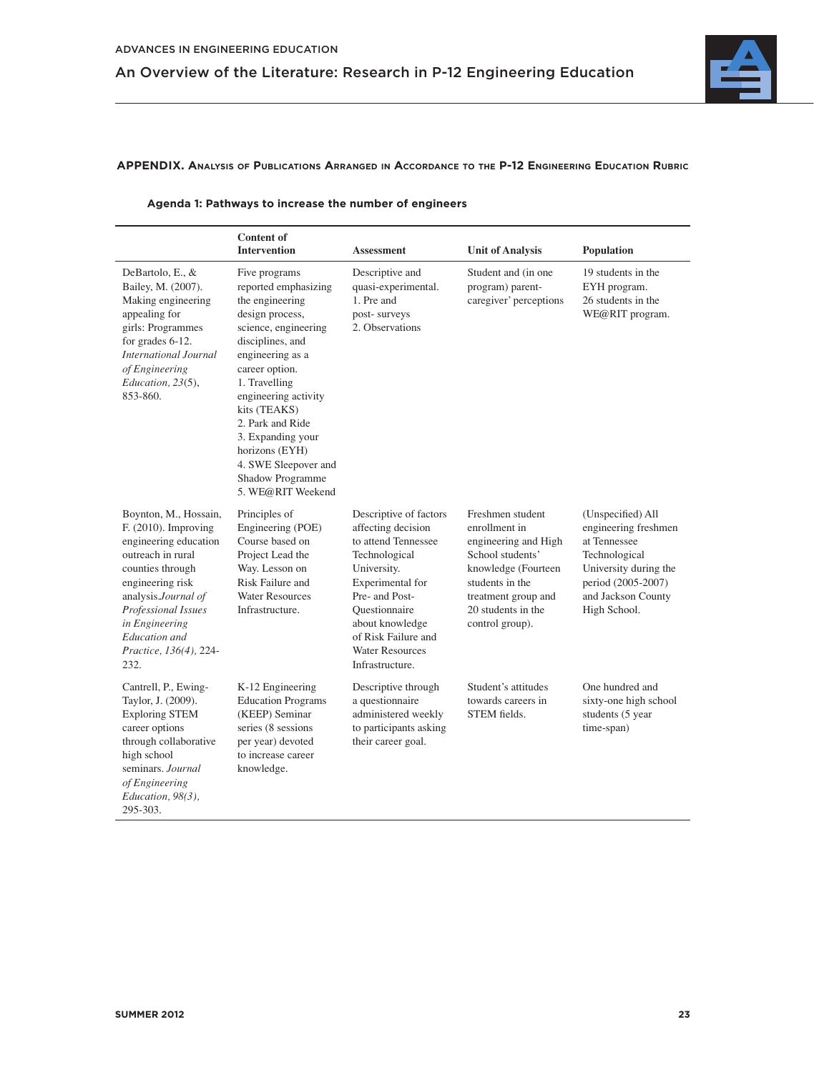

### **APPENDIX. ANALYSIS OF PUBLICATIONS ARRANGED IN ACCORDANCE TO THE P-12 ENGINEERING EDUCATION RUBRIC**

|                                                                                                                                                                                                                                                           | <b>Content of</b><br><b>Intervention</b>                                                                                                                                                                                                                                                                                                           | <b>Assessment</b>                                                                                                                                                                                                                                 | <b>Unit of Analysis</b>                                                                                                                                                                 | Population                                                                                                                                                      |
|-----------------------------------------------------------------------------------------------------------------------------------------------------------------------------------------------------------------------------------------------------------|----------------------------------------------------------------------------------------------------------------------------------------------------------------------------------------------------------------------------------------------------------------------------------------------------------------------------------------------------|---------------------------------------------------------------------------------------------------------------------------------------------------------------------------------------------------------------------------------------------------|-----------------------------------------------------------------------------------------------------------------------------------------------------------------------------------------|-----------------------------------------------------------------------------------------------------------------------------------------------------------------|
| DeBartolo, E., &<br>Bailey, M. (2007).<br>Making engineering<br>appealing for<br>girls: Programmes<br>for grades 6-12.<br><b>International Journal</b><br>of Engineering<br>Education, 23(5),<br>853-860.                                                 | Five programs<br>reported emphasizing<br>the engineering<br>design process,<br>science, engineering<br>disciplines, and<br>engineering as a<br>career option.<br>1. Travelling<br>engineering activity<br>kits (TEAKS)<br>2. Park and Ride<br>3. Expanding your<br>horizons (EYH)<br>4. SWE Sleepover and<br>Shadow Programme<br>5. WE@RIT Weekend | Descriptive and<br>quasi-experimental.<br>1. Pre and<br>post-surveys<br>2. Observations                                                                                                                                                           | Student and (in one<br>program) parent-<br>caregiver' perceptions                                                                                                                       | 19 students in the<br>EYH program.<br>26 students in the<br>WE@RIT program.                                                                                     |
| Boynton, M., Hossain,<br>$F. (2010)$ . Improving<br>engineering education<br>outreach in rural<br>counties through<br>engineering risk<br>analysis.Journal of<br>Professional Issues<br>in Engineering<br>Education and<br>Practice, 136(4), 224-<br>232. | Principles of<br>Engineering (POE)<br>Course based on<br>Project Lead the<br>Way. Lesson on<br>Risk Failure and<br><b>Water Resources</b><br>Infrastructure.                                                                                                                                                                                       | Descriptive of factors<br>affecting decision<br>to attend Tennessee<br>Technological<br>University.<br>Experimental for<br>Pre- and Post-<br>Ouestionnaire<br>about knowledge<br>of Risk Failure and<br><b>Water Resources</b><br>Infrastructure. | Freshmen student<br>enrollment in<br>engineering and High<br>School students'<br>knowledge (Fourteen<br>students in the<br>treatment group and<br>20 students in the<br>control group). | (Unspecified) All<br>engineering freshmen<br>at Tennessee<br>Technological<br>University during the<br>period (2005-2007)<br>and Jackson County<br>High School. |
| Cantrell, P., Ewing-<br>Taylor, J. (2009).<br><b>Exploring STEM</b><br>career options<br>through collaborative<br>high school<br>seminars. Journal<br>of Engineering<br>Education, 98(3),<br>295-303.                                                     | K-12 Engineering<br><b>Education Programs</b><br>(KEEP) Seminar<br>series (8 sessions<br>per year) devoted<br>to increase career<br>knowledge.                                                                                                                                                                                                     | Descriptive through<br>a questionnaire<br>administered weekly<br>to participants asking<br>their career goal.                                                                                                                                     | Student's attitudes<br>towards careers in<br>STEM fields.                                                                                                                               | One hundred and<br>sixty-one high school<br>students (5 year<br>time-span)                                                                                      |

### **Agenda 1: Pathways to increase the number of engineers**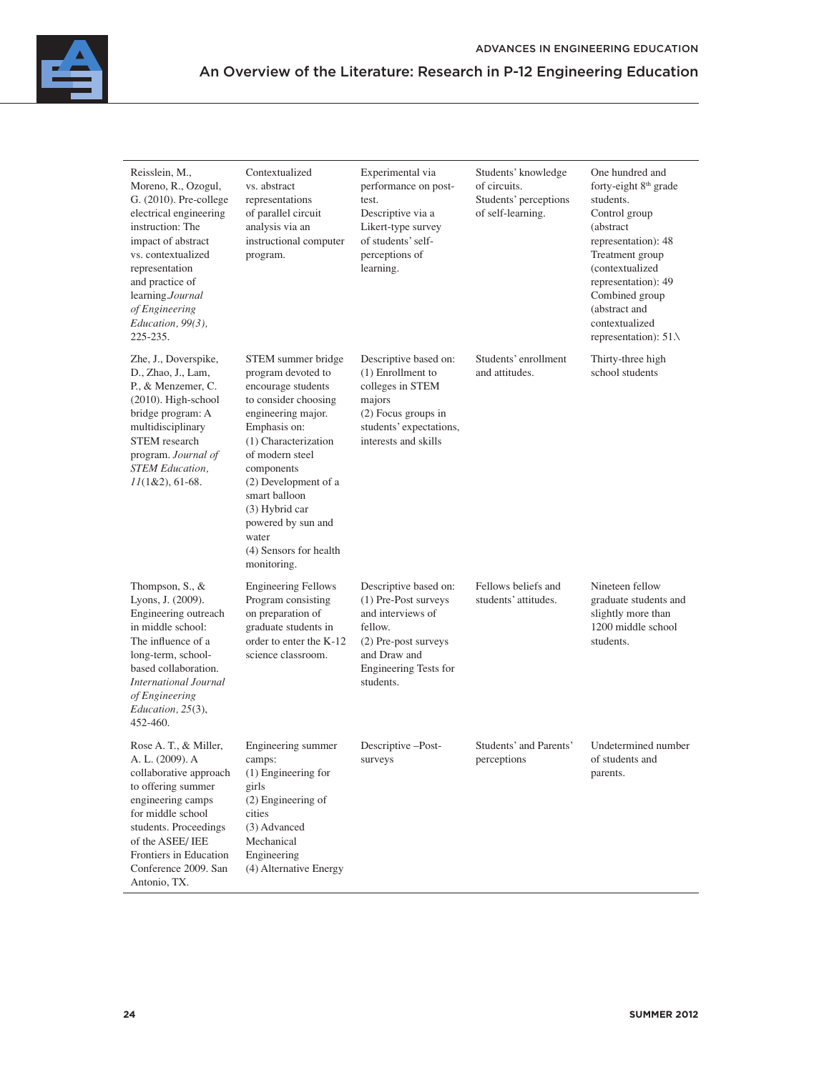| Reisslein, M.,<br>Moreno, R., Ozogul,<br>G. (2010). Pre-college<br>electrical engineering<br>instruction: The<br>impact of abstract<br>vs. contextualized<br>representation<br>and practice of<br>learning.Journal<br>of Engineering<br>Education, 99(3),<br>225-235. | Contextualized<br>vs. abstract<br>representations<br>of parallel circuit<br>analysis via an<br>instructional computer<br>program.                                                                                                                                                                                        | Experimental via<br>performance on post-<br>test.<br>Descriptive via a<br>Likert-type survey<br>of students' self-<br>perceptions of<br>learning.                  | Students' knowledge<br>of circuits.<br>Students' perceptions<br>of self-learning. | One hundred and<br>forty-eight 8 <sup>th</sup> grade<br>students.<br>Control group<br>(abstract<br>representation): 48<br>Treatment group<br>(contextualized<br>representation): 49<br>Combined group<br>(abstract and<br>contextualized<br>representation): $51\lambda$ |
|-----------------------------------------------------------------------------------------------------------------------------------------------------------------------------------------------------------------------------------------------------------------------|--------------------------------------------------------------------------------------------------------------------------------------------------------------------------------------------------------------------------------------------------------------------------------------------------------------------------|--------------------------------------------------------------------------------------------------------------------------------------------------------------------|-----------------------------------------------------------------------------------|--------------------------------------------------------------------------------------------------------------------------------------------------------------------------------------------------------------------------------------------------------------------------|
| Zhe, J., Doverspike,<br>D., Zhao, J., Lam,<br>P., & Menzemer, C.<br>(2010). High-school<br>bridge program: A<br>multidisciplinary<br><b>STEM</b> research<br>program. Journal of<br><b>STEM Education</b> ,<br>$11(1&2), 61-68.$                                      | STEM summer bridge<br>program devoted to<br>encourage students<br>to consider choosing<br>engineering major.<br>Emphasis on:<br>(1) Characterization<br>of modern steel<br>components<br>(2) Development of a<br>smart balloon<br>(3) Hybrid car<br>powered by sun and<br>water<br>(4) Sensors for health<br>monitoring. | Descriptive based on:<br>(1) Enrollment to<br>colleges in STEM<br>majors<br>(2) Focus groups in<br>students' expectations,<br>interests and skills                 | Students' enrollment<br>and attitudes.                                            | Thirty-three high<br>school students                                                                                                                                                                                                                                     |
| Thompson, S., &<br>Lyons, J. (2009).<br>Engineering outreach<br>in middle school:<br>The influence of a<br>long-term, school-<br>based collaboration.<br><b>International Journal</b><br>of Engineering<br>Education, 25(3),<br>452-460.                              | <b>Engineering Fellows</b><br>Program consisting<br>on preparation of<br>graduate students in<br>order to enter the K-12<br>science classroom.                                                                                                                                                                           | Descriptive based on:<br>(1) Pre-Post surveys<br>and interviews of<br>fellow.<br>(2) Pre-post surveys<br>and Draw and<br><b>Engineering Tests for</b><br>students. | Fellows beliefs and<br>students' attitudes.                                       | Nineteen fellow<br>graduate students and<br>slightly more than<br>1200 middle school<br>students.                                                                                                                                                                        |
| Rose A. T., & Miller,<br>A. L. (2009). A<br>collaborative approach<br>to offering summer<br>engineering camps<br>for middle school<br>students. Proceedings<br>of the ASEE/IEE<br>Frontiers in Education<br>Conference 2009. San<br>Antonio, TX.                      | Engineering summer<br>camps:<br>(1) Engineering for<br>girls<br>$(2)$ Engineering of<br>cities<br>(3) Advanced<br>Mechanical<br>Engineering<br>(4) Alternative Energy                                                                                                                                                    | Descriptive -Post-<br>surveys                                                                                                                                      | Students' and Parents'<br>perceptions                                             | Undetermined number<br>of students and<br>parents.                                                                                                                                                                                                                       |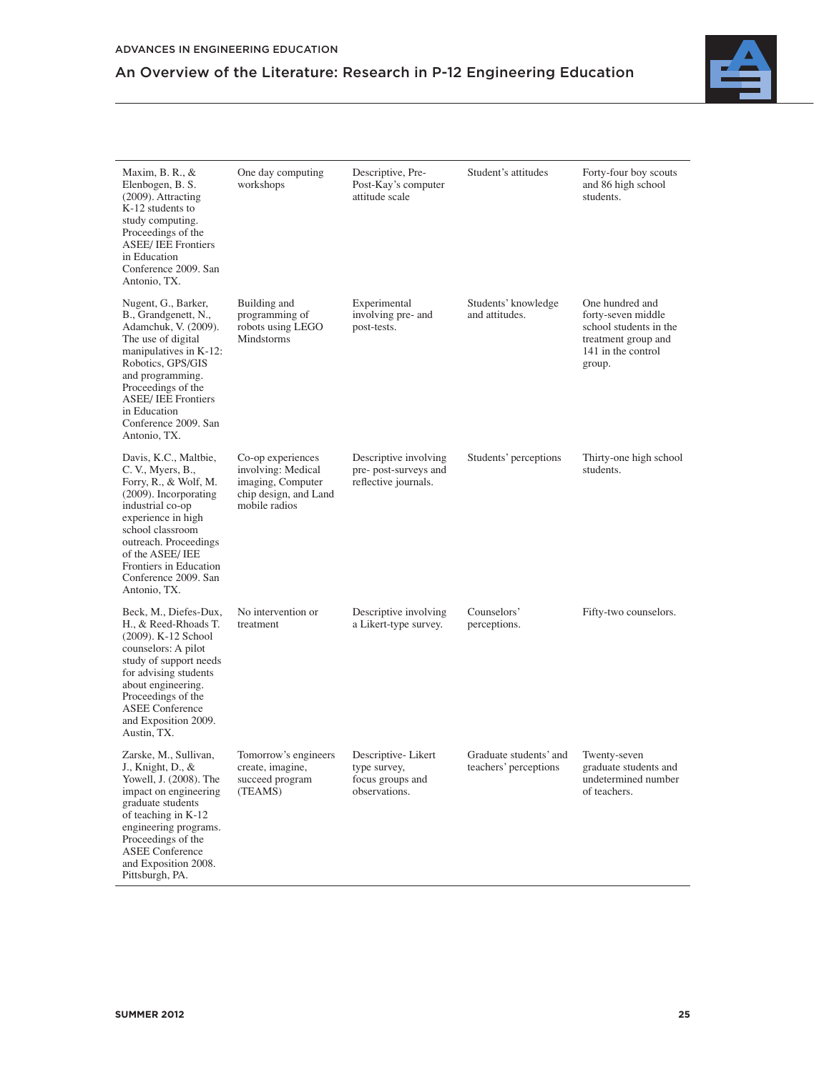

| Maxim, B. R., $\&$<br>Elenbogen, B. S.<br>(2009). Attracting<br>K-12 students to<br>study computing.<br>Proceedings of the<br><b>ASEE/IEE Frontiers</b><br>in Education<br>Conference 2009. San<br>Antonio, TX.                                                             | One day computing<br>workshops                                                                         | Descriptive, Pre-<br>Post-Kay's computer<br>attitude scale              | Student's attitudes                             | Forty-four boy scouts<br>and 86 high school<br>students.                                                               |
|-----------------------------------------------------------------------------------------------------------------------------------------------------------------------------------------------------------------------------------------------------------------------------|--------------------------------------------------------------------------------------------------------|-------------------------------------------------------------------------|-------------------------------------------------|------------------------------------------------------------------------------------------------------------------------|
| Nugent, G., Barker,<br>B., Grandgenett, N.,<br>Adamchuk, V. (2009).<br>The use of digital<br>manipulatives in K-12:<br>Robotics, GPS/GIS<br>and programming.<br>Proceedings of the<br><b>ASEE/IEE Frontiers</b><br>in Education<br>Conference 2009. San<br>Antonio, TX.     | Building and<br>programming of<br>robots using LEGO<br><b>Mindstorms</b>                               | Experimental<br>involving pre- and<br>post-tests.                       | Students' knowledge<br>and attitudes.           | One hundred and<br>forty-seven middle<br>school students in the<br>treatment group and<br>141 in the control<br>group. |
| Davis, K.C., Maltbie,<br>C. V., Myers, B.,<br>Forry, R., & Wolf, M.<br>$(2009)$ . Incorporating<br>industrial co-op<br>experience in high<br>school classroom<br>outreach. Proceedings<br>of the ASEE/IEE<br>Frontiers in Education<br>Conference 2009. San<br>Antonio, TX. | Co-op experiences<br>involving: Medical<br>imaging, Computer<br>chip design, and Land<br>mobile radios | Descriptive involving<br>pre- post-surveys and<br>reflective journals.  | Students' perceptions                           | Thirty-one high school<br>students.                                                                                    |
| Beck, M., Diefes-Dux,<br>H., & Reed-Rhoads T.<br>(2009). K-12 School<br>counselors: A pilot<br>study of support needs<br>for advising students<br>about engineering.<br>Proceedings of the<br><b>ASEE Conference</b><br>and Exposition 2009.<br>Austin, TX.                 | No intervention or<br>treatment                                                                        | Descriptive involving<br>a Likert-type survey.                          | Counselors'<br>perceptions.                     | Fifty-two counselors.                                                                                                  |
| Zarske, M., Sullivan,<br>J., Knight, D., &<br>Yowell, J. (2008). The<br>impact on engineering<br>graduate students<br>of teaching in K-12<br>engineering programs.<br>Proceedings of the<br><b>ASEE Conference</b><br>and Exposition 2008.                                  | Tomorrow's engineers<br>create, imagine,<br>succeed program<br>(TEAMS)                                 | Descriptive-Likert<br>type survey,<br>focus groups and<br>observations. | Graduate students' and<br>teachers' perceptions | Twenty-seven<br>graduate students and<br>undetermined number<br>of teachers.                                           |

Pittsburgh, PA.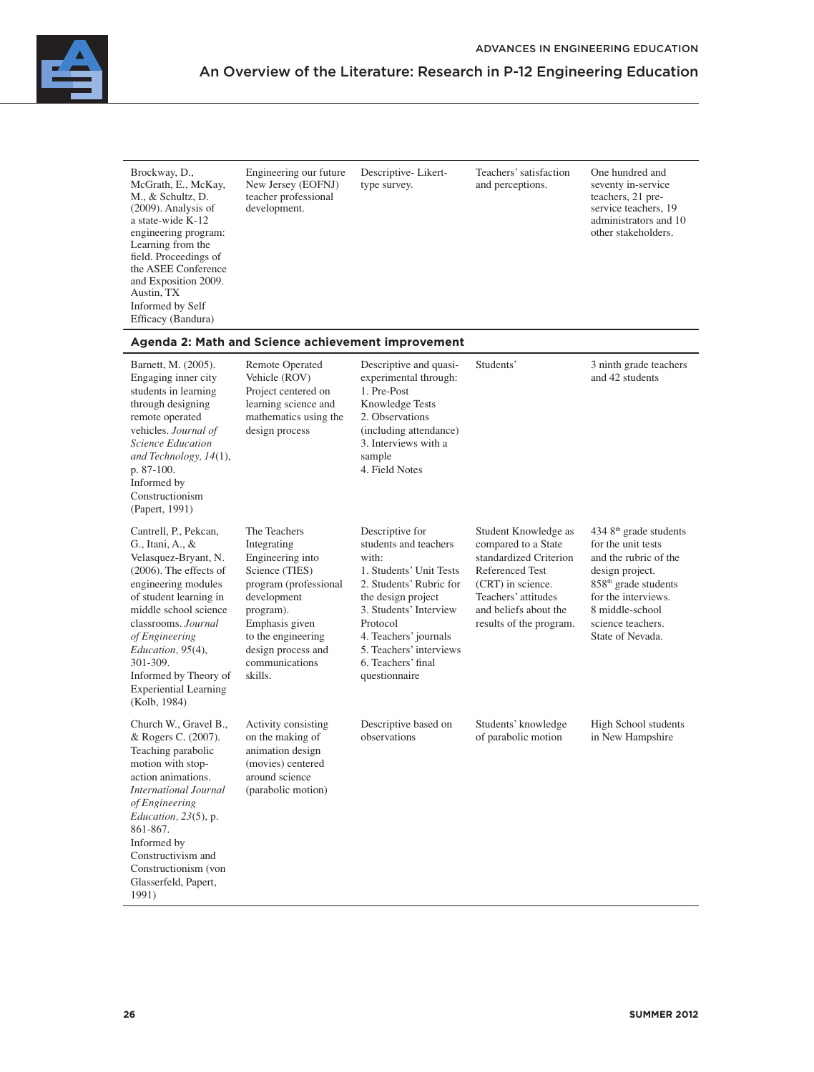

| Brockway, D.,<br>McGrath, E., McKay,<br>M., & Schultz, D.<br>$(2009)$ . Analysis of<br>a state-wide K-12<br>engineering program:<br>Learning from the<br>field. Proceedings of<br>the ASEE Conference<br>and Exposition 2009.<br>Austin, TX<br>Informed by Self<br>Efficacy (Bandura)                                       | Engineering our future<br>New Jersey (EOFNJ)<br>teacher professional<br>development.                                                                                                                              | Descriptive-Likert-<br>type survey.                                                                                                                                                                                                                            | Teachers' satisfaction<br>and perceptions.                                                                                                                                               | One hundred and<br>seventy in-service<br>teachers, 21 pre-<br>service teachers, 19<br>administrators and 10<br>other stakeholders.                                                                                          |
|-----------------------------------------------------------------------------------------------------------------------------------------------------------------------------------------------------------------------------------------------------------------------------------------------------------------------------|-------------------------------------------------------------------------------------------------------------------------------------------------------------------------------------------------------------------|----------------------------------------------------------------------------------------------------------------------------------------------------------------------------------------------------------------------------------------------------------------|------------------------------------------------------------------------------------------------------------------------------------------------------------------------------------------|-----------------------------------------------------------------------------------------------------------------------------------------------------------------------------------------------------------------------------|
|                                                                                                                                                                                                                                                                                                                             | Agenda 2: Math and Science achievement improvement                                                                                                                                                                |                                                                                                                                                                                                                                                                |                                                                                                                                                                                          |                                                                                                                                                                                                                             |
| Barnett, M. (2005).<br>Engaging inner city<br>students in learning<br>through designing<br>remote operated<br>vehicles. Journal of<br><b>Science Education</b><br>and Technology, 14(1),<br>p. 87-100.<br>Informed by<br>Constructionism<br>(Papert, 1991)                                                                  | Remote Operated<br>Vehicle (ROV)<br>Project centered on<br>learning science and<br>mathematics using the<br>design process                                                                                        | Descriptive and quasi-<br>experimental through:<br>1. Pre-Post<br>Knowledge Tests<br>2. Observations<br>(including attendance)<br>3. Interviews with a<br>sample<br>4. Field Notes                                                                             | Students'                                                                                                                                                                                | 3 ninth grade teachers<br>and 42 students                                                                                                                                                                                   |
| Cantrell, P., Pekcan,<br>G., Itani, A., &<br>Velasquez-Bryant, N.<br>$(2006)$ . The effects of<br>engineering modules<br>of student learning in<br>middle school science<br>classrooms. Journal<br>of Engineering<br>Education, 95(4),<br>301-309.<br>Informed by Theory of<br><b>Experiential Learning</b><br>(Kolb, 1984) | The Teachers<br>Integrating<br>Engineering into<br>Science (TIES)<br>program (professional<br>development<br>program).<br>Emphasis given<br>to the engineering<br>design process and<br>communications<br>skills. | Descriptive for<br>students and teachers<br>with:<br>1. Students' Unit Tests<br>2. Students' Rubric for<br>the design project<br>3. Students' Interview<br>Protocol<br>4. Teachers' journals<br>5. Teachers' interviews<br>6. Teachers' final<br>questionnaire | Student Knowledge as<br>compared to a State<br>standardized Criterion<br>Referenced Test<br>(CRT) in science.<br>Teachers' attitudes<br>and beliefs about the<br>results of the program. | 434 8 <sup>th</sup> grade students<br>for the unit tests<br>and the rubric of the<br>design project.<br>858 <sup>th</sup> grade students<br>for the interviews.<br>8 middle-school<br>science teachers.<br>State of Nevada. |
| Church W., Gravel B.,<br>& Rogers C. (2007).<br>Teaching parabolic<br>motion with stop-<br>action animations.<br><b>International Journal</b><br>of Engineering<br>Education, $23(5)$ , p.<br>861-867.<br>Informed by<br>Constructivism and<br>Constructionism (von<br>Glasserfeld, Papert,<br>1991)                        | Activity consisting<br>on the making of<br>animation design<br>(movies) centered<br>around science<br>(parabolic motion)                                                                                          | Descriptive based on<br>observations                                                                                                                                                                                                                           | Students' knowledge<br>of parabolic motion                                                                                                                                               | High School students<br>in New Hampshire                                                                                                                                                                                    |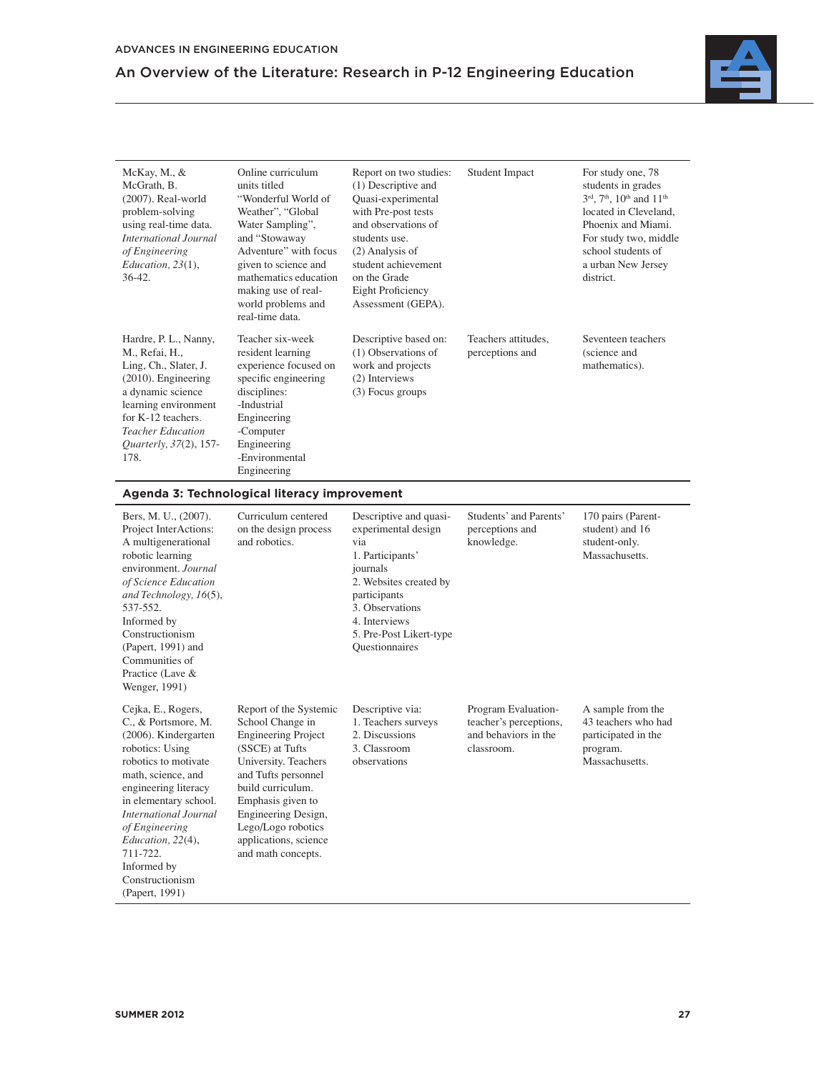

| McKay, M., &<br>McGrath, B.<br>$(2007)$ . Real-world<br>problem-solving<br>using real-time data.<br>International Journal<br>of Engineering<br>Education, 23(1),<br>$36-42.$                                                | Online curriculum<br>units titled<br>"Wonderful World of<br>Weather", "Global<br>Water Sampling",<br>and "Stowaway<br>Adventure" with focus<br>given to science and<br>mathematics education<br>making use of real-<br>world problems and<br>real-time data. | Report on two studies:<br>(1) Descriptive and<br>Quasi-experimental<br>with Pre-post tests<br>and observations of<br>students use.<br>(2) Analysis of<br>student achievement<br>on the Grade<br><b>Eight Proficiency</b><br>Assessment (GEPA). | <b>Student Impact</b>                                   | For study one, 78<br>students in grades<br>3rd, 7 <sup>th</sup> , 10 <sup>th</sup> and 11 <sup>th</sup><br>located in Cleveland.<br>Phoenix and Miami.<br>For study two, middle<br>school students of<br>a urban New Jersey<br>district. |
|-----------------------------------------------------------------------------------------------------------------------------------------------------------------------------------------------------------------------------|--------------------------------------------------------------------------------------------------------------------------------------------------------------------------------------------------------------------------------------------------------------|------------------------------------------------------------------------------------------------------------------------------------------------------------------------------------------------------------------------------------------------|---------------------------------------------------------|------------------------------------------------------------------------------------------------------------------------------------------------------------------------------------------------------------------------------------------|
| Hardre, P. L., Nanny,<br>M., Refai, H.,<br>Ling, Ch., Slater, J.<br>$(2010)$ . Engineering<br>a dynamic science<br>learning environment<br>for K-12 teachers.<br><b>Teacher Education</b><br>Quarterly, 37(2), 157-<br>178. | Teacher six-week<br>resident learning<br>experience focused on<br>specific engineering<br>disciplines:<br>-Industrial<br>Engineering<br>-Computer<br>Engineering<br>-Environmental<br>Engineering                                                            | Descriptive based on:<br>(1) Observations of<br>work and projects<br>(2) Interviews<br>(3) Focus groups                                                                                                                                        | Teachers attitudes.<br>perceptions and                  | Seventeen teachers<br>(science and<br>mathematics).                                                                                                                                                                                      |
|                                                                                                                                                                                                                             | Agenda 3: Technological literacy improvement                                                                                                                                                                                                                 |                                                                                                                                                                                                                                                |                                                         |                                                                                                                                                                                                                                          |
| Bers, M. U., (2007).<br>Project InterActions:<br>A multigenerational<br>robotic learning<br>environment. Journal<br>of Science Education<br>and Technology, 16(5),<br>537-552.<br>Informed by<br>Constructionism            | Curriculum centered<br>on the design process<br>and robotics.                                                                                                                                                                                                | Descriptive and quasi-<br>experimental design<br>via<br>1. Participants'<br>journals<br>2. Websites created by<br>participants<br>3. Observations<br>4. Interviews<br>5. Pre-Post Likert-type                                                  | Students' and Parents'<br>perceptions and<br>knowledge. | 170 pairs (Parent-<br>student) and 16<br>student-only.<br>Massachusetts.                                                                                                                                                                 |

Questionnaires

Descriptive via: 1. Teachers surveys 2. Discussions 3. Classroom observations

Program Evaluationteacher's perceptions, and behaviors in the classroom.

A sample from the 43 teachers who had participated in the program. Massachusetts.

Report of the Systemic School Change in Engineering Project (SSCE) at Tufts University. Teachers and Tufts personnel build curriculum. Emphasis given to Engineering Design, Lego/Logo robotics applications, science and math concepts.

(Papert, 1991) and Communities of Practice (Lave & Wenger, 1991)

Cejka, E., Rogers, C., & Portsmore, M. (2006). Kindergarten robotics: Using robotics to motivate math, science, and engineering literacy in elementary school. *International Journal of Engineering Education, 22*(4), 711-722. Informed by Constructionism (Papert, 1991)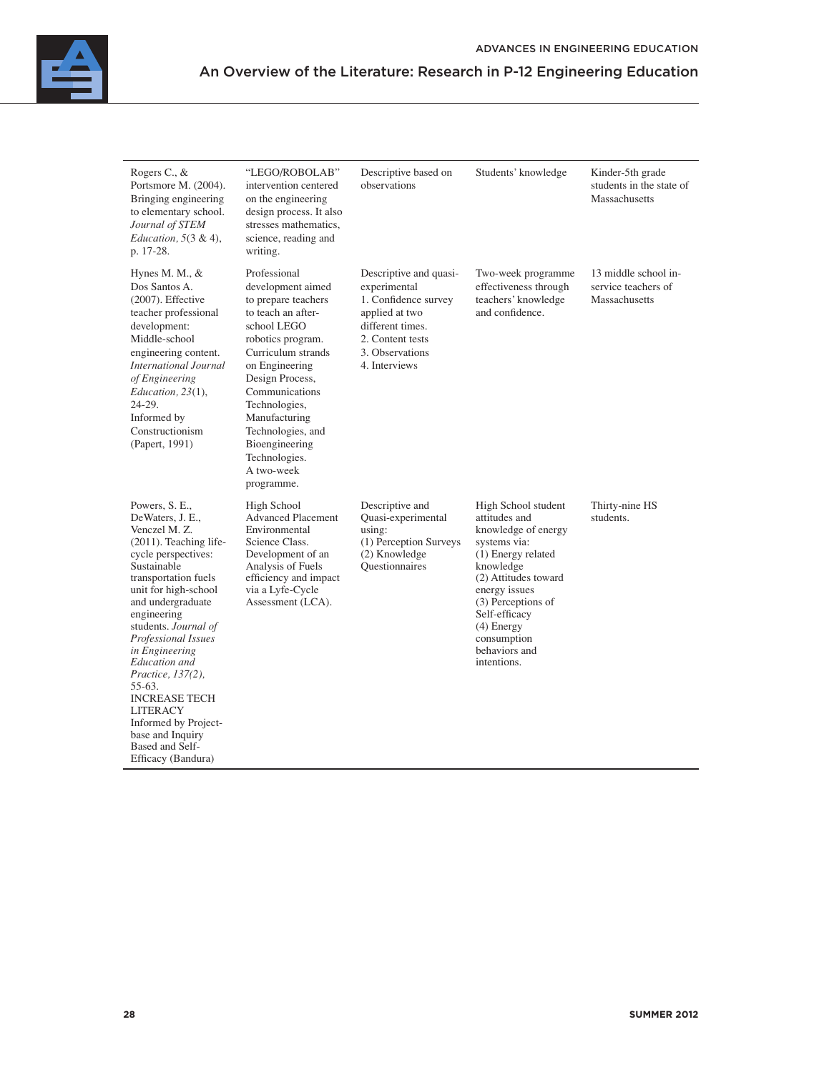

| Rogers C., &<br>Portsmore M. (2004).<br>Bringing engineering<br>to elementary school.<br>Journal of STEM<br>Education, $5(3 \& 4)$ ,<br>p. 17-28.                                                                                                                                                                                                                                                                                                                  | "LEGO/ROBOLAB"<br>intervention centered<br>on the engineering<br>design process. It also<br>stresses mathematics.<br>science, reading and<br>writing.                                                                                                                                                                 | Descriptive based on<br>observations                                                                                                                         | Students' knowledge                                                                                                                                                                                                                                           | Kinder-5th grade<br>students in the state of<br>Massachusetts |
|--------------------------------------------------------------------------------------------------------------------------------------------------------------------------------------------------------------------------------------------------------------------------------------------------------------------------------------------------------------------------------------------------------------------------------------------------------------------|-----------------------------------------------------------------------------------------------------------------------------------------------------------------------------------------------------------------------------------------------------------------------------------------------------------------------|--------------------------------------------------------------------------------------------------------------------------------------------------------------|---------------------------------------------------------------------------------------------------------------------------------------------------------------------------------------------------------------------------------------------------------------|---------------------------------------------------------------|
| Hynes M. M., $&$<br>Dos Santos A.<br>$(2007)$ . Effective<br>teacher professional<br>development:<br>Middle-school<br>engineering content.<br><b>International Journal</b><br>of Engineering<br>Education, 23(1),<br>24-29.<br>Informed by<br>Constructionism<br>(Papert, 1991)                                                                                                                                                                                    | Professional<br>development aimed<br>to prepare teachers<br>to teach an after-<br>school LEGO<br>robotics program.<br>Curriculum strands<br>on Engineering<br>Design Process,<br>Communications<br>Technologies,<br>Manufacturing<br>Technologies, and<br>Bioengineering<br>Technologies.<br>A two-week<br>programme. | Descriptive and quasi-<br>experimental<br>1. Confidence survey<br>applied at two<br>different times.<br>2. Content tests<br>3. Observations<br>4. Interviews | Two-week programme<br>effectiveness through<br>teachers' knowledge<br>and confidence.                                                                                                                                                                         | 13 middle school in-<br>service teachers of<br>Massachusetts  |
| Powers, S. E.,<br>DeWaters, J. E.,<br>Venczel M. Z.<br>$(2011)$ . Teaching life-<br>cycle perspectives:<br>Sustainable<br>transportation fuels<br>unit for high-school<br>and undergraduate<br>engineering<br>students. Journal of<br>Professional Issues<br>in Engineering<br>Education and<br><i>Practice, 137(2),</i><br>55-63.<br><b>INCREASE TECH</b><br><b>LITERACY</b><br>Informed by Project-<br>base and Inquiry<br>Based and Self-<br>Efficacy (Bandura) | High School<br><b>Advanced Placement</b><br>Environmental<br>Science Class.<br>Development of an<br>Analysis of Fuels<br>efficiency and impact<br>via a Lyfe-Cycle<br>Assessment (LCA).                                                                                                                               | Descriptive and<br>Quasi-experimental<br>using:<br>(1) Perception Surveys<br>(2) Knowledge<br><b>Ouestionnaires</b>                                          | High School student<br>attitudes and<br>knowledge of energy<br>systems via:<br>(1) Energy related<br>knowledge<br>(2) Attitudes toward<br>energy issues<br>(3) Perceptions of<br>Self-efficacy<br>$(4)$ Energy<br>consumption<br>behaviors and<br>intentions. | Thirty-nine HS<br>students.                                   |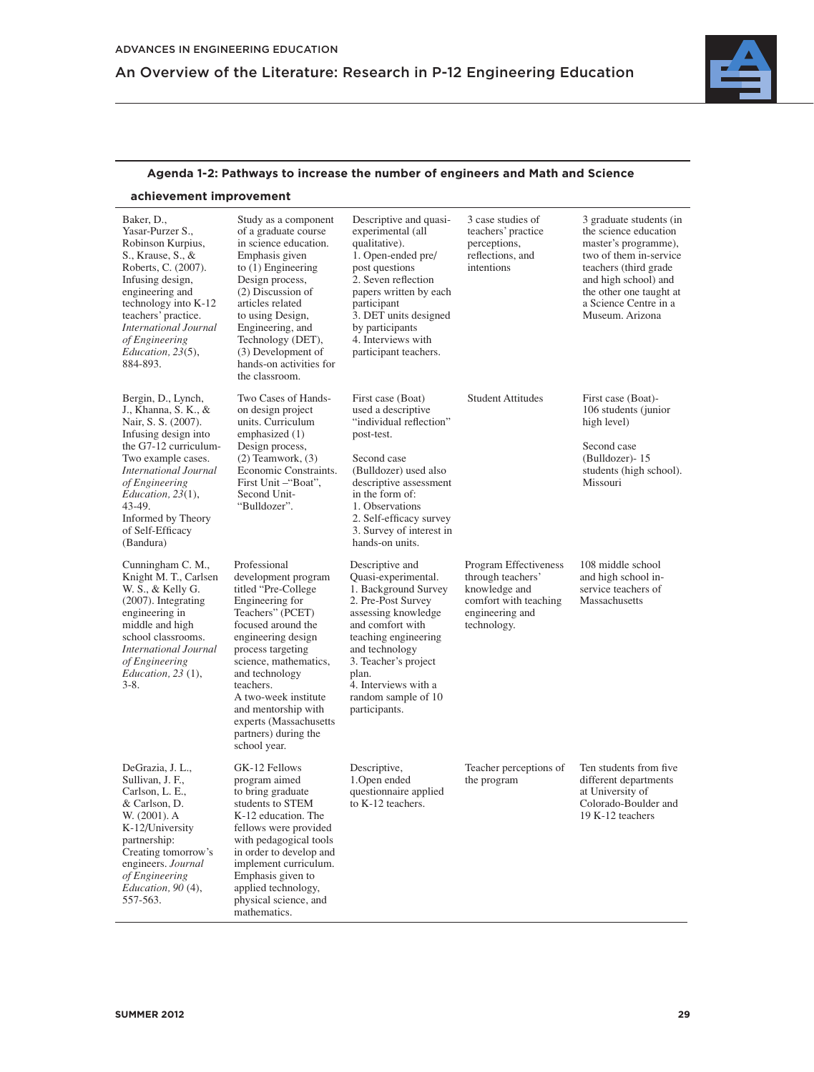

### **Agenda 1-2: Pathways to increase the number of engineers and Math and Science**

### **achievement improvement**

| Baker, D.,<br>Yasar-Purzer S.,<br>Robinson Kurpius,<br>S., Krause, S., &<br>Roberts, C. (2007).<br>Infusing design,<br>engineering and<br>technology into K-12<br>teachers' practice.<br><b>International Journal</b><br>of Engineering<br>Education, 23(5),<br>884-893.         | Study as a component<br>of a graduate course<br>in science education.<br>Emphasis given<br>to $(1)$ Engineering<br>Design process,<br>(2) Discussion of<br>articles related<br>to using Design,<br>Engineering, and<br>Technology (DET),<br>(3) Development of<br>hands-on activities for<br>the classroom.                                  | Descriptive and quasi-<br>experimental (all<br>qualitative).<br>1. Open-ended pre/<br>post questions<br>2. Seven reflection<br>papers written by each<br>participant<br>3. DET units designed<br>by participants<br>4. Interviews with<br>participant teachers.            | 3 case studies of<br>teachers' practice<br>perceptions,<br>reflections, and<br>intentions                              | 3 graduate students (in<br>the science education<br>master's programme),<br>two of them in-service<br>teachers (third grade<br>and high school) and<br>the other one taught at<br>a Science Centre in a<br>Museum. Arizona |
|----------------------------------------------------------------------------------------------------------------------------------------------------------------------------------------------------------------------------------------------------------------------------------|----------------------------------------------------------------------------------------------------------------------------------------------------------------------------------------------------------------------------------------------------------------------------------------------------------------------------------------------|----------------------------------------------------------------------------------------------------------------------------------------------------------------------------------------------------------------------------------------------------------------------------|------------------------------------------------------------------------------------------------------------------------|----------------------------------------------------------------------------------------------------------------------------------------------------------------------------------------------------------------------------|
| Bergin, D., Lynch,<br>J., Khanna, S. K., &<br>Nair, S. S. (2007).<br>Infusing design into<br>the G7-12 curriculum-<br>Two example cases.<br><b>International Journal</b><br>of Engineering<br>Education, 23(1),<br>43-49.<br>Informed by Theory<br>of Self-Efficacy<br>(Bandura) | Two Cases of Hands-<br>on design project<br>units. Curriculum<br>emphasized (1)<br>Design process,<br>$(2)$ Teamwork, $(3)$<br>Economic Constraints.<br>First Unit -"Boat",<br>Second Unit-<br>"Bulldozer".                                                                                                                                  | First case (Boat)<br>used a descriptive<br>"individual reflection"<br>post-test.<br>Second case<br>(Bulldozer) used also<br>descriptive assessment<br>in the form of:<br>1. Observations<br>2. Self-efficacy survey<br>3. Survey of interest in<br>hands-on units.         | <b>Student Attitudes</b>                                                                                               | First case (Boat)-<br>106 students (junior<br>high level)<br>Second case<br>(Bulldozer)-15<br>students (high school).<br>Missouri                                                                                          |
| Cunningham C. M.,<br>Knight M. T., Carlsen<br>W. S., & Kelly G.<br>(2007). Integrating<br>engineering in<br>middle and high<br>school classrooms.<br><b>International Journal</b><br>of Engineering<br>Education, $23(1)$ ,<br>$3 - 8$ .                                         | Professional<br>development program<br>titled "Pre-College"<br>Engineering for<br>Teachers" (PCET)<br>focused around the<br>engineering design<br>process targeting<br>science, mathematics,<br>and technology<br>teachers.<br>A two-week institute<br>and mentorship with<br>experts (Massachusetts<br>partners) during the<br>school year. | Descriptive and<br>Quasi-experimental.<br>1. Background Survey<br>2. Pre-Post Survey<br>assessing knowledge<br>and comfort with<br>teaching engineering<br>and technology<br>3. Teacher's project<br>plan.<br>4. Interviews with a<br>random sample of 10<br>participants. | Program Effectiveness<br>through teachers'<br>knowledge and<br>comfort with teaching<br>engineering and<br>technology. | 108 middle school<br>and high school in-<br>service teachers of<br>Massachusetts                                                                                                                                           |
| DeGrazia, J. L.,<br>Sullivan, J. F.,<br>Carlson, L. E.,<br>& Carlson, D.<br>W. (2001). A<br>K-12/University<br>partnership:<br>Creating tomorrow's<br>engineers. Journal<br>of Engineering<br>Education, 90 (4),<br>557-563.                                                     | GK-12 Fellows<br>program aimed<br>to bring graduate<br>students to STEM<br>K-12 education. The<br>fellows were provided<br>with pedagogical tools<br>in order to develop and<br>implement curriculum.<br>Emphasis given to<br>applied technology,<br>physical science, and<br>mathematics.                                                   | Descriptive,<br>1. Open ended<br>questionnaire applied<br>to K-12 teachers.                                                                                                                                                                                                | Teacher perceptions of<br>the program                                                                                  | Ten students from five<br>different departments<br>at University of<br>Colorado-Boulder and<br>19 K-12 teachers                                                                                                            |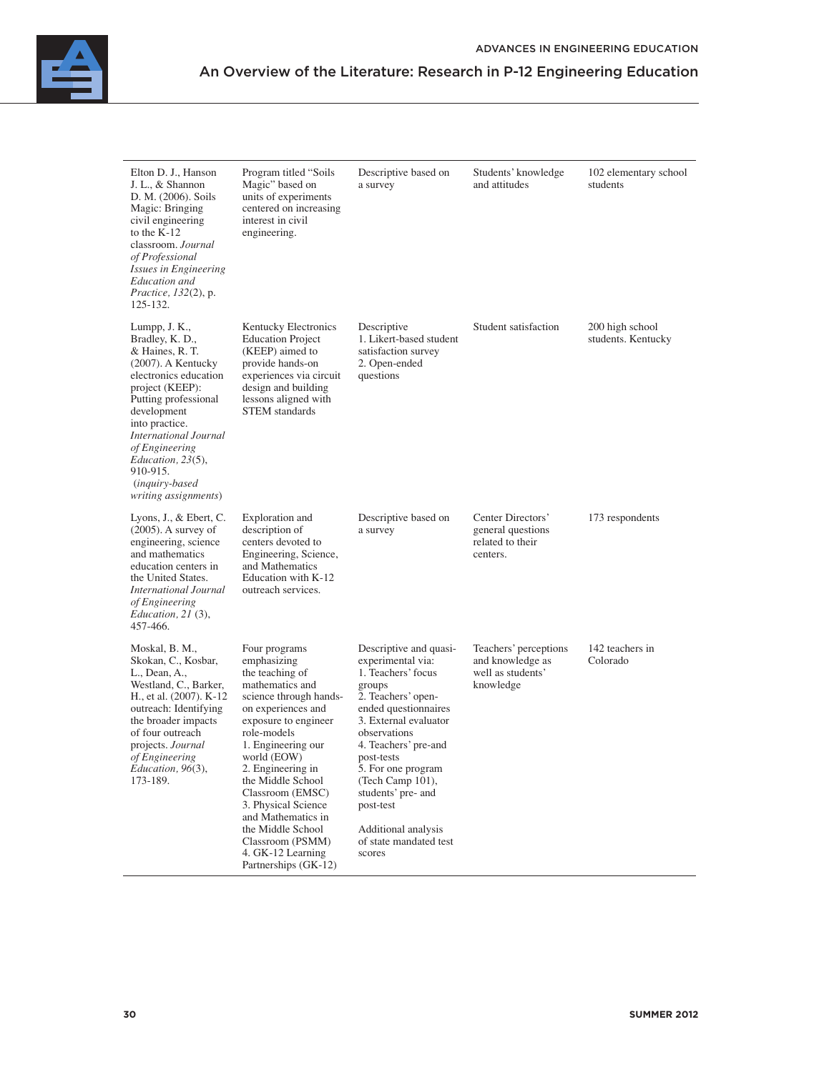

| Elton D. J., Hanson<br>J. L., & Shannon<br>D. M. (2006). Soils<br>Magic: Bringing<br>civil engineering<br>to the K-12<br>classroom. Journal<br>of Professional<br>Issues in Engineering<br>Education and<br><i>Practice, 132(2), p.</i><br>125-132.                                                                       | Program titled "Soils"<br>Magic" based on<br>units of experiments<br>centered on increasing<br>interest in civil<br>engineering.                                                                                                                                                                                                                                                                | Descriptive based on<br>a survey                                                                                                                                                                                                                                                                                                                 | Students' knowledge<br>and attitudes                                        | 102 elementary school<br>students     |
|---------------------------------------------------------------------------------------------------------------------------------------------------------------------------------------------------------------------------------------------------------------------------------------------------------------------------|-------------------------------------------------------------------------------------------------------------------------------------------------------------------------------------------------------------------------------------------------------------------------------------------------------------------------------------------------------------------------------------------------|--------------------------------------------------------------------------------------------------------------------------------------------------------------------------------------------------------------------------------------------------------------------------------------------------------------------------------------------------|-----------------------------------------------------------------------------|---------------------------------------|
| Lumpp, J. K.,<br>Bradley, K. D.,<br>& Haines, R. T.<br>$(2007)$ . A Kentucky<br>electronics education<br>project (KEEP):<br>Putting professional<br>development<br>into practice.<br><b>International Journal</b><br>of Engineering<br>Education, $23(5)$ ,<br>910-915.<br><i>(inquiry-based)</i><br>writing assignments) | Kentucky Electronics<br><b>Education Project</b><br>(KEEP) aimed to<br>provide hands-on<br>experiences via circuit<br>design and building<br>lessons aligned with<br><b>STEM</b> standards                                                                                                                                                                                                      | Descriptive<br>1. Likert-based student<br>satisfaction survey<br>2. Open-ended<br>questions                                                                                                                                                                                                                                                      | Student satisfaction                                                        | 200 high school<br>students. Kentucky |
| Lyons, J., & Ebert, C.<br>$(2005)$ . A survey of<br>engineering, science<br>and mathematics<br>education centers in<br>the United States.<br><b>International Journal</b><br>of Engineering<br>Education, $21(3)$ ,<br>457-466.                                                                                           | Exploration and<br>description of<br>centers devoted to<br>Engineering, Science,<br>and Mathematics<br>Education with K-12<br>outreach services.                                                                                                                                                                                                                                                | Descriptive based on<br>a survey                                                                                                                                                                                                                                                                                                                 | Center Directors'<br>general questions<br>related to their<br>centers.      | 173 respondents                       |
| Moskal, B. M.,<br>Skokan, C., Kosbar,<br>L., Dean, A.,<br>Westland, C., Barker,<br>H., et al. (2007). K-12<br>outreach: Identifying<br>the broader impacts<br>of four outreach<br>projects. Journal<br>of Engineering<br>Education, 96(3),<br>173-189.                                                                    | Four programs<br>emphasizing<br>the teaching of<br>mathematics and<br>science through hands-<br>on experiences and<br>exposure to engineer<br>role-models<br>1. Engineering our<br>world (EOW)<br>2. Engineering in<br>the Middle School<br>Classroom (EMSC)<br>3. Physical Science<br>and Mathematics in<br>the Middle School<br>Classroom (PSMM)<br>4. GK-12 Learning<br>Partnerships (GK-12) | Descriptive and quasi-<br>experimental via:<br>1. Teachers' focus<br>groups<br>2. Teachers' open-<br>ended questionnaires<br>3. External evaluator<br>observations<br>4. Teachers' pre-and<br>post-tests<br>5. For one program<br>(Tech Camp 101),<br>students' pre- and<br>post-test<br>Additional analysis<br>of state mandated test<br>scores | Teachers' perceptions<br>and knowledge as<br>well as students'<br>knowledge | 142 teachers in<br>Colorado           |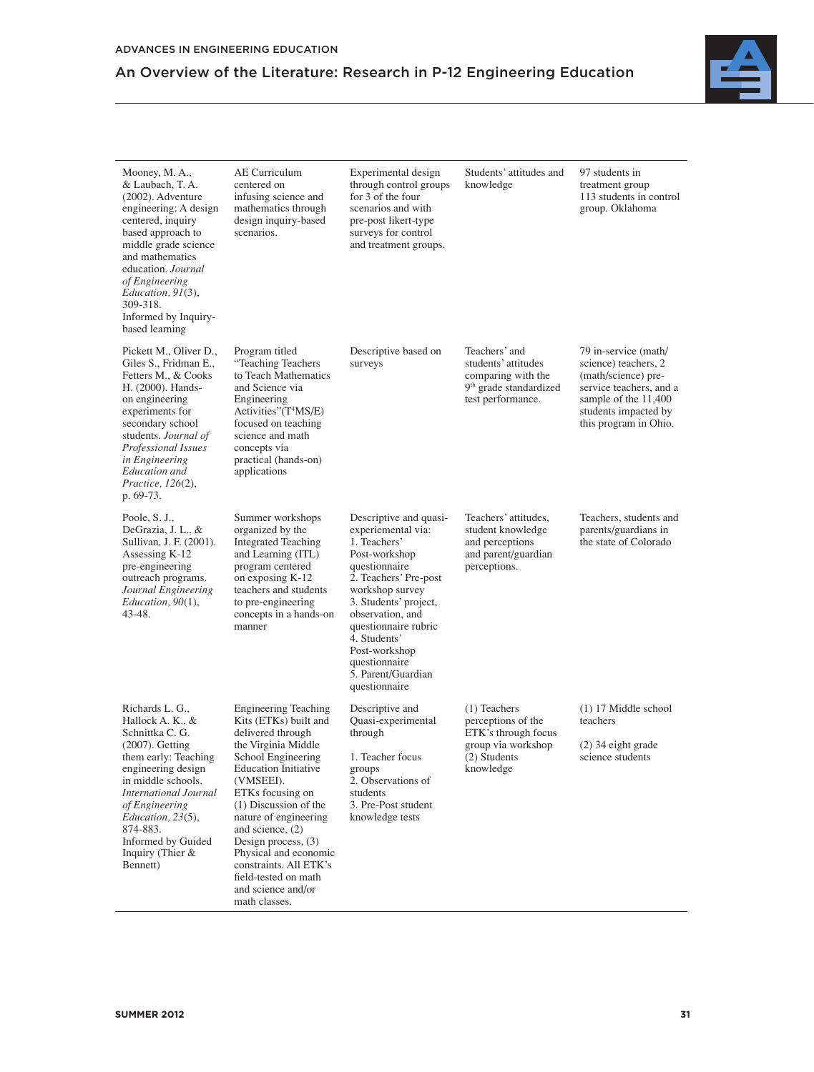

| Mooney, M.A.,<br>& Laubach, T. A.<br>$(2002)$ . Adventure<br>engineering: A design<br>centered, inquiry<br>based approach to<br>middle grade science<br>and mathematics<br>education. Journal<br>of Engineering<br>Education, 91(3),<br>309-318.<br>Informed by Inquiry-<br>based learning   | AE Curriculum<br>centered on<br>infusing science and<br>mathematics through<br>design inquiry-based<br>scenarios.                                                                                                                                                                                                                                                                      | Experimental design<br>through control groups<br>for 3 of the four<br>scenarios and with<br>pre-post likert-type<br>surveys for control<br>and treatment groups.                                                                                                                                         | Students' attitudes and<br>knowledge                                                                                  | 97 students in<br>treatment group<br>113 students in control<br>group. Oklahoma                                                                                         |
|----------------------------------------------------------------------------------------------------------------------------------------------------------------------------------------------------------------------------------------------------------------------------------------------|----------------------------------------------------------------------------------------------------------------------------------------------------------------------------------------------------------------------------------------------------------------------------------------------------------------------------------------------------------------------------------------|----------------------------------------------------------------------------------------------------------------------------------------------------------------------------------------------------------------------------------------------------------------------------------------------------------|-----------------------------------------------------------------------------------------------------------------------|-------------------------------------------------------------------------------------------------------------------------------------------------------------------------|
| Pickett M., Oliver D.,<br>Giles S., Fridman E.,<br>Fetters M., & Cooks<br>H. (2000). Hands-<br>on engineering<br>experiments for<br>secondary school<br>students. Journal of<br>Professional Issues<br>in Engineering<br>Education and<br>Practice, $126(2)$ ,<br>p. 69-73.                  | Program titled<br>"Teaching Teachers<br>to Teach Mathematics<br>and Science via<br>Engineering<br>Activities"(T <sup>4</sup> MS/E)<br>focused on teaching<br>science and math<br>concepts via<br>practical (hands-on)<br>applications                                                                                                                                                  | Descriptive based on<br>surveys                                                                                                                                                                                                                                                                          | Teachers' and<br>students' attitudes<br>comparing with the<br>9 <sup>th</sup> grade standardized<br>test performance. | 79 in-service (math/<br>science) teachers, 2<br>(math/science) pre-<br>service teachers, and a<br>sample of the 11,400<br>students impacted by<br>this program in Ohio. |
| Poole, S. J.,<br>DeGrazia, J. L., &<br>Sullivan, J. F. (2001).<br>Assessing K-12<br>pre-engineering<br>outreach programs.<br>Journal Engineering<br>Education, $90(1)$ ,<br>43-48.                                                                                                           | Summer workshops<br>organized by the<br><b>Integrated Teaching</b><br>and Learning (ITL)<br>program centered<br>on exposing K-12<br>teachers and students<br>to pre-engineering<br>concepts in a hands-on<br>manner                                                                                                                                                                    | Descriptive and quasi-<br>experiemental via:<br>1. Teachers'<br>Post-workshop<br>questionnaire<br>2. Teachers' Pre-post<br>workshop survey<br>3. Students' project,<br>observation, and<br>questionnaire rubric<br>4. Students'<br>Post-workshop<br>questionnaire<br>5. Parent/Guardian<br>questionnaire | Teachers' attitudes,<br>student knowledge<br>and perceptions<br>and parent/guardian<br>perceptions.                   | Teachers, students and<br>parents/guardians in<br>the state of Colorado                                                                                                 |
| Richards L. G.,<br>Hallock A. K., &<br>Schnittka C. G.<br>$(2007)$ . Getting<br>them early: Teaching<br>engineering design<br>in middle schools.<br><b>International Journal</b><br>of Engineering<br>Education, $23(5)$ ,<br>874-883.<br>Informed by Guided<br>Inquiry (Thier &<br>Bennett) | <b>Engineering Teaching</b><br>Kits (ETKs) built and<br>delivered through<br>the Virginia Middle<br>School Engineering<br><b>Education Initiative</b><br>(VMSEEI).<br>ETKs focusing on<br>(1) Discussion of the<br>nature of engineering<br>and science, (2)<br>Design process, $(3)$<br>Physical and economic<br>constraints. All ETK's<br>field-tested on math<br>and science and/or | Descriptive and<br>Quasi-experimental<br>through<br>1. Teacher focus<br>groups<br>2. Observations of<br>students<br>3. Pre-Post student<br>knowledge tests                                                                                                                                               | $(1)$ Teachers<br>perceptions of the<br>ETK's through focus<br>group via workshop<br>(2) Students<br>knowledge        | $(1)$ 17 Middle school<br>teachers<br>(2) 34 eight grade<br>science students                                                                                            |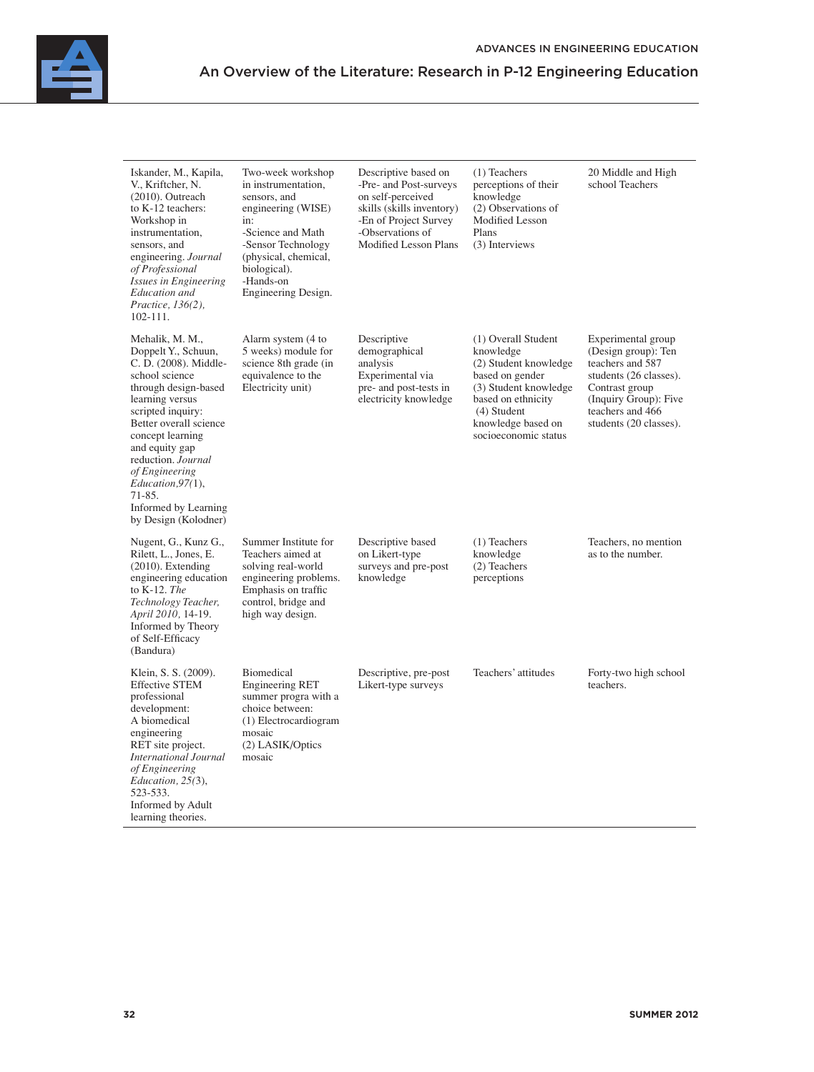| Iskander, M., Kapila,<br>V., Kriftcher, N.<br>$(2010)$ . Outreach<br>to $K-12$ teachers:<br>Workshop in<br>instrumentation,<br>sensors, and<br>engineering. Journal<br>of Professional<br>Issues in Engineering<br>Education and<br>Practice, 136(2),<br>$102 - 111.$                                                                        | Two-week workshop<br>in instrumentation.<br>sensors, and<br>engineering (WISE)<br>in:<br>-Science and Math<br>-Sensor Technology<br>(physical, chemical,<br>biological).<br>-Hands-on<br>Engineering Design. | Descriptive based on<br>-Pre- and Post-surveys<br>on self-perceived<br>skills (skills inventory)<br>-En of Project Survey<br>-Observations of<br>Modified Lesson Plans | $(1)$ Teachers<br>perceptions of their<br>knowledge<br>(2) Observations of<br><b>Modified Lesson</b><br>Plans<br>(3) Interviews                                                          | 20 Middle and High<br>school Teachers                                                                                                                                            |
|----------------------------------------------------------------------------------------------------------------------------------------------------------------------------------------------------------------------------------------------------------------------------------------------------------------------------------------------|--------------------------------------------------------------------------------------------------------------------------------------------------------------------------------------------------------------|------------------------------------------------------------------------------------------------------------------------------------------------------------------------|------------------------------------------------------------------------------------------------------------------------------------------------------------------------------------------|----------------------------------------------------------------------------------------------------------------------------------------------------------------------------------|
| Mehalik, M. M.,<br>Doppelt Y., Schuun,<br>C. D. (2008). Middle-<br>school science<br>through design-based<br>learning versus<br>scripted inquiry:<br>Better overall science<br>concept learning<br>and equity gap<br>reduction. Journal<br>of Engineering<br>Education, 97(1),<br>$71 - 85.$<br>Informed by Learning<br>by Design (Kolodner) | Alarm system (4 to<br>5 weeks) module for<br>science 8th grade (in<br>equivalence to the<br>Electricity unit)                                                                                                | Descriptive<br>demographical<br>analysis<br>Experimental via<br>pre- and post-tests in<br>electricity knowledge                                                        | (1) Overall Student<br>knowledge<br>(2) Student knowledge<br>based on gender<br>(3) Student knowledge<br>based on ethnicity<br>(4) Student<br>knowledge based on<br>socioeconomic status | Experimental group<br>(Design group): Ten<br>teachers and 587<br>students (26 classes).<br>Contrast group<br>(Inquiry Group): Five<br>teachers and 466<br>students (20 classes). |
| Nugent, G., Kunz G.,<br>Rilett, L., Jones, E.<br>$(2010)$ . Extending<br>engineering education<br>to K-12. The<br>Technology Teacher,<br>April 2010, 14-19.<br>Informed by Theory<br>of Self-Efficacy<br>(Bandura)                                                                                                                           | Summer Institute for<br>Teachers aimed at<br>solving real-world<br>engineering problems.<br>Emphasis on traffic<br>control, bridge and<br>high way design.                                                   | Descriptive based<br>on Likert-type<br>surveys and pre-post<br>knowledge                                                                                               | $(1)$ Teachers<br>knowledge<br>(2) Teachers<br>perceptions                                                                                                                               | Teachers, no mention<br>as to the number.                                                                                                                                        |
| Klein, S. S. (2009).<br><b>Effective STEM</b><br>professional<br>development:<br>A biomedical<br>engineering<br>RET site project.<br><b>International Journal</b><br>of Engineering<br>Education, 25(3),<br>523-533.<br>Informed by Adult<br>learning theories.                                                                              | <b>Biomedical</b><br><b>Engineering RET</b><br>summer progra with a<br>choice between:<br>(1) Electrocardiogram<br>mosaic<br>(2) LASIK/Optics<br>mosaic                                                      | Descriptive, pre-post<br>Likert-type surveys                                                                                                                           | Teachers' attitudes                                                                                                                                                                      | Forty-two high school<br>teachers.                                                                                                                                               |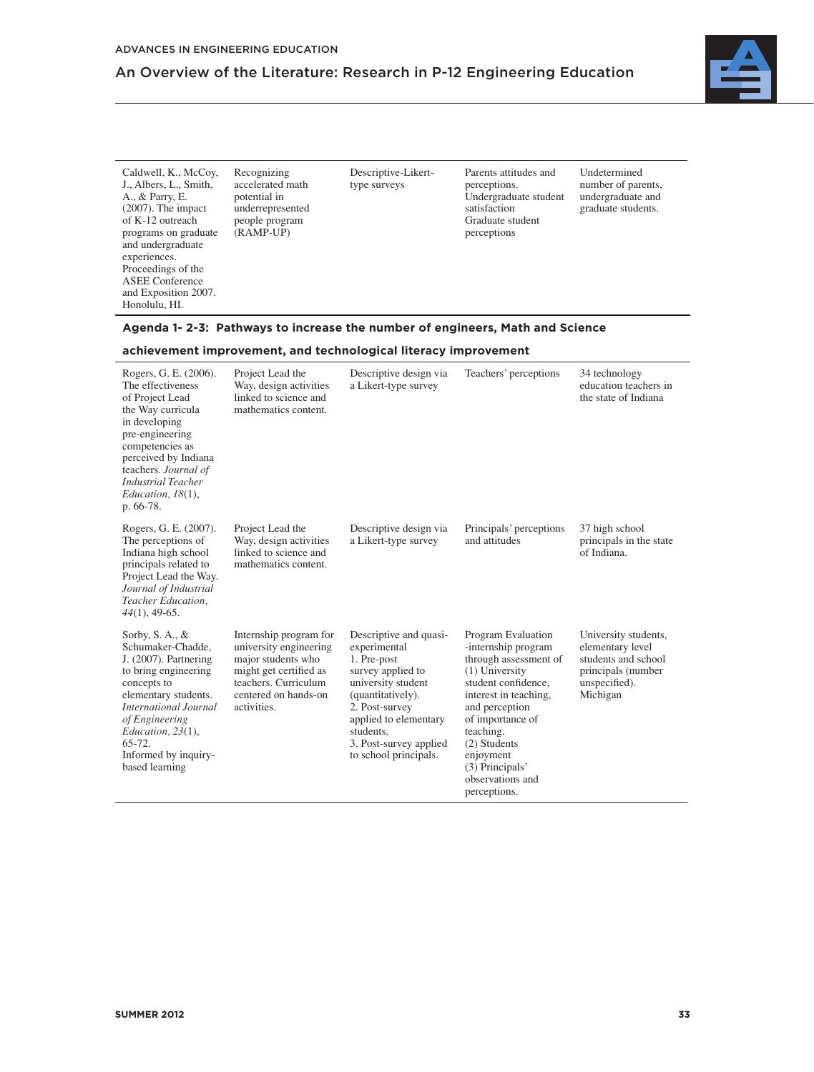

Caldwell, K., McCoy, J., Albers, L., Smith, A., & Parry, E. (2007). The impact of K-12 outreach programs on graduate and undergraduate experiences. Proceedings of the ASEE Conference and Exposition 2007. Honolulu, HI.

Recognizing accelerated math potential in underrepresented people program (RAMP-UP)

Descriptive-Likerttype surveys

Parents attitudes and perceptions. Undergraduate student satisfaction Graduate student perceptions

Undetermined number of parents, undergraduate and graduate students.

### **Agenda 1- 2-3: Pathways to increase the number of engineers, Math and Science**

### **achievement improvement, and technological literacy improvement**

| Rogers, G. E. (2006).<br>The effectiveness<br>of Project Lead<br>the Way curricula<br>in developing<br>pre-engineering<br>competencies as<br>perceived by Indiana<br>teachers. Journal of<br><b>Industrial Teacher</b><br>Education, $18(1)$ ,<br>p. 66-78.          | Project Lead the<br>Way, design activities<br>linked to science and<br>mathematics content.                                                                     | Descriptive design via<br>a Likert-type survey                                                                                                                                                                                   | Teachers' perceptions                                                                                                                                                                                                                                                         | 34 technology<br>education teachers in<br>the state of Indiana                                                     |
|----------------------------------------------------------------------------------------------------------------------------------------------------------------------------------------------------------------------------------------------------------------------|-----------------------------------------------------------------------------------------------------------------------------------------------------------------|----------------------------------------------------------------------------------------------------------------------------------------------------------------------------------------------------------------------------------|-------------------------------------------------------------------------------------------------------------------------------------------------------------------------------------------------------------------------------------------------------------------------------|--------------------------------------------------------------------------------------------------------------------|
| Rogers, G. E. (2007).<br>The perceptions of<br>Indiana high school<br>principals related to<br>Project Lead the Way.<br>Journal of Industrial<br>Teacher Education,<br>$44(1)$ , 49-65.                                                                              | Project Lead the<br>Way, design activities<br>linked to science and<br>mathematics content.                                                                     | Descriptive design via<br>a Likert-type survey                                                                                                                                                                                   | Principals' perceptions<br>and attitudes                                                                                                                                                                                                                                      | 37 high school<br>principals in the state<br>of Indiana.                                                           |
| Sorby, S. A., $\&$<br>Schumaker-Chadde,<br>$J. (2007)$ . Partnering<br>to bring engineering<br>concepts to<br>elementary students.<br><b>International Journal</b><br>of Engineering<br>Education, $23(1)$ ,<br>$65 - 72.$<br>Informed by inquiry-<br>based learning | Internship program for<br>university engineering<br>major students who<br>might get certified as<br>teachers. Curriculum<br>centered on hands-on<br>activities. | Descriptive and quasi-<br>experimental<br>1. Pre-post<br>survey applied to<br>university student<br>(quantitatively).<br>2. Post-survey<br>applied to elementary<br>students.<br>3. Post-survey applied<br>to school principals. | Program Evaluation<br>-internship program<br>through assessment of<br>$(1)$ University<br>student confidence.<br>interest in teaching,<br>and perception<br>of importance of<br>teaching.<br>(2) Students<br>enjoyment<br>(3) Principals'<br>observations and<br>perceptions. | University students,<br>elementary level<br>students and school<br>principals (number<br>unspecified).<br>Michigan |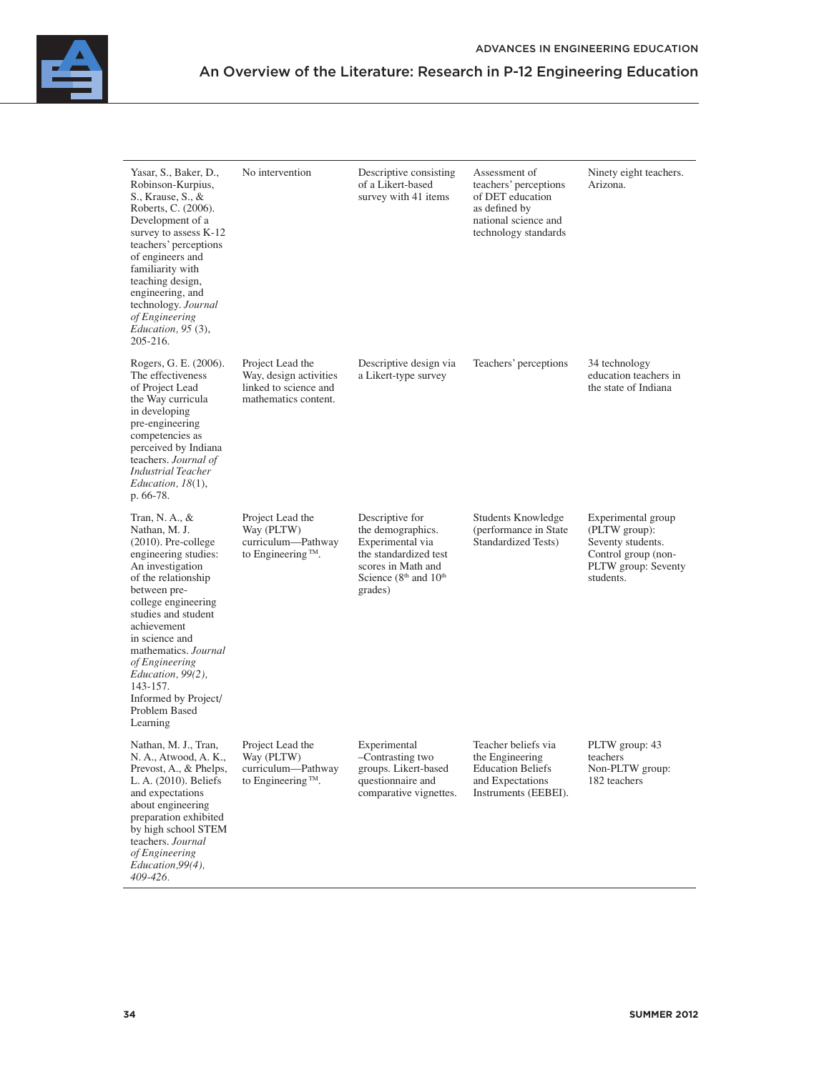

| Yasar, S., Baker, D.,<br>Robinson-Kurpius,<br>S., Krause, S., &<br>Roberts, C. (2006).<br>Development of a<br>survey to assess K-12<br>teachers' perceptions<br>of engineers and<br>familiarity with<br>teaching design,<br>engineering, and<br>technology. Journal<br>of Engineering<br>Education, 95 (3),<br>205-216.                                        | No intervention                                                                             | Descriptive consisting<br>of a Likert-based<br>survey with 41 items                                                                                                 | Assessment of<br>teachers' perceptions<br>of DET education<br>as defined by<br>national science and<br>technology standards | Ninety eight teachers.<br>Arizona.                                                                                  |
|----------------------------------------------------------------------------------------------------------------------------------------------------------------------------------------------------------------------------------------------------------------------------------------------------------------------------------------------------------------|---------------------------------------------------------------------------------------------|---------------------------------------------------------------------------------------------------------------------------------------------------------------------|-----------------------------------------------------------------------------------------------------------------------------|---------------------------------------------------------------------------------------------------------------------|
| Rogers, G. E. (2006).<br>The effectiveness<br>of Project Lead<br>the Way curricula<br>in developing<br>pre-engineering<br>competencies as<br>perceived by Indiana<br>teachers. Journal of<br><b>Industrial Teacher</b><br>Education, $18(1)$ ,<br>p. 66-78.                                                                                                    | Project Lead the<br>Way, design activities<br>linked to science and<br>mathematics content. | Descriptive design via<br>a Likert-type survey                                                                                                                      | Teachers' perceptions                                                                                                       | 34 technology<br>education teachers in<br>the state of Indiana                                                      |
| Tran, N. A., $\&$<br>Nathan, M. J.<br>$(2010)$ . Pre-college<br>engineering studies:<br>An investigation<br>of the relationship<br>between pre-<br>college engineering<br>studies and student<br>achievement<br>in science and<br>mathematics. Journal<br>of Engineering<br>Education, 99(2),<br>143-157.<br>Informed by Project/<br>Problem Based<br>Learning | Project Lead the<br>Way (PLTW)<br>curriculum-Pathway<br>to Engineering <sup>TM</sup> .      | Descriptive for<br>the demographics.<br>Experimental via<br>the standardized test<br>scores in Math and<br>Science (8 <sup>th</sup> and 10 <sup>th</sup><br>grades) | Students Knowledge<br>(performance in State)<br>Standardized Tests)                                                         | Experimental group<br>(PLTW group):<br>Seventy students.<br>Control group (non-<br>PLTW group: Seventy<br>students. |
| Nathan, M. J., Tran,<br>N. A., Atwood, A. K.,<br>Prevost, A., & Phelps,<br>L. A. (2010). Beliefs<br>and expectations<br>about engineering<br>preparation exhibited<br>by high school STEM<br>teachers. Journal<br>of Engineering<br>Education, 99(4),<br>409-426.                                                                                              | Project Lead the<br>Way (PLTW)<br>curriculum—Pathway<br>to Engineering <sup>™</sup> .       | Experimental<br>-Contrasting two<br>groups. Likert-based<br>questionnaire and<br>comparative vignettes.                                                             | Teacher beliefs via<br>the Engineering<br><b>Education Beliefs</b><br>and Expectations<br>Instruments (EEBEI).              | PLTW group: 43<br>teachers<br>Non-PLTW group:<br>182 teachers                                                       |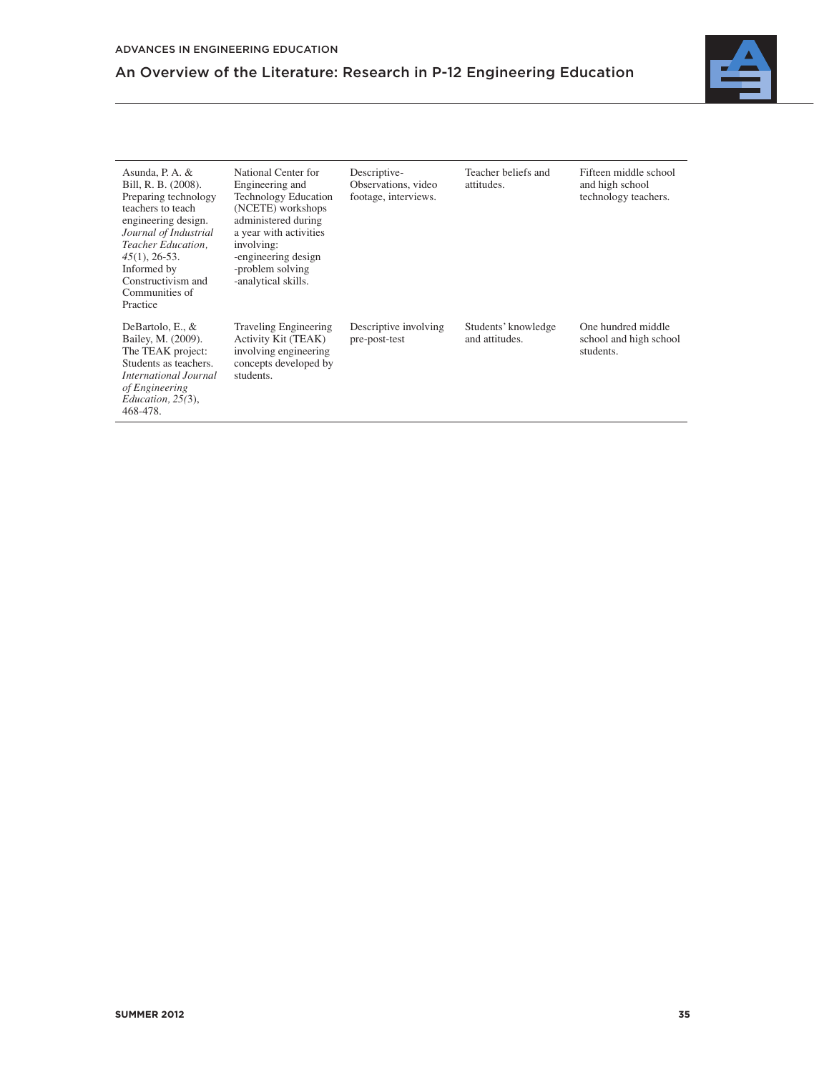

| Asunda, P. A. $&$<br>Bill, R. B. (2008).<br>Preparing technology<br>teachers to teach<br>engineering design.<br>Journal of Industrial<br>Teacher Education.<br>$45(1)$ , 26-53.<br>Informed by<br>Constructivism and<br>Communities of<br>Practice | National Center for<br>Engineering and<br><b>Technology Education</b><br>(NCETE) workshops<br>administered during<br>a year with activities<br>involving:<br>-engineering design<br>-problem solving<br>-analytical skills. | Descriptive-<br>Observations, video<br>footage, interviews. | Teacher beliefs and<br>attitudes.     | Fifteen middle school<br>and high school<br>technology teachers. |
|----------------------------------------------------------------------------------------------------------------------------------------------------------------------------------------------------------------------------------------------------|-----------------------------------------------------------------------------------------------------------------------------------------------------------------------------------------------------------------------------|-------------------------------------------------------------|---------------------------------------|------------------------------------------------------------------|
| DeBartolo, E., $&$<br>Bailey, M. (2009).<br>The TEAK project:<br>Students as teachers.<br>International Journal<br>of Engineering<br>Education, 25(3),<br>468-478.                                                                                 | <b>Traveling Engineering</b><br>Activity Kit (TEAK)<br>involving engineering<br>concepts developed by<br>students.                                                                                                          | Descriptive involving<br>pre-post-test                      | Students' knowledge<br>and attitudes. | One hundred middle<br>school and high school<br>students.        |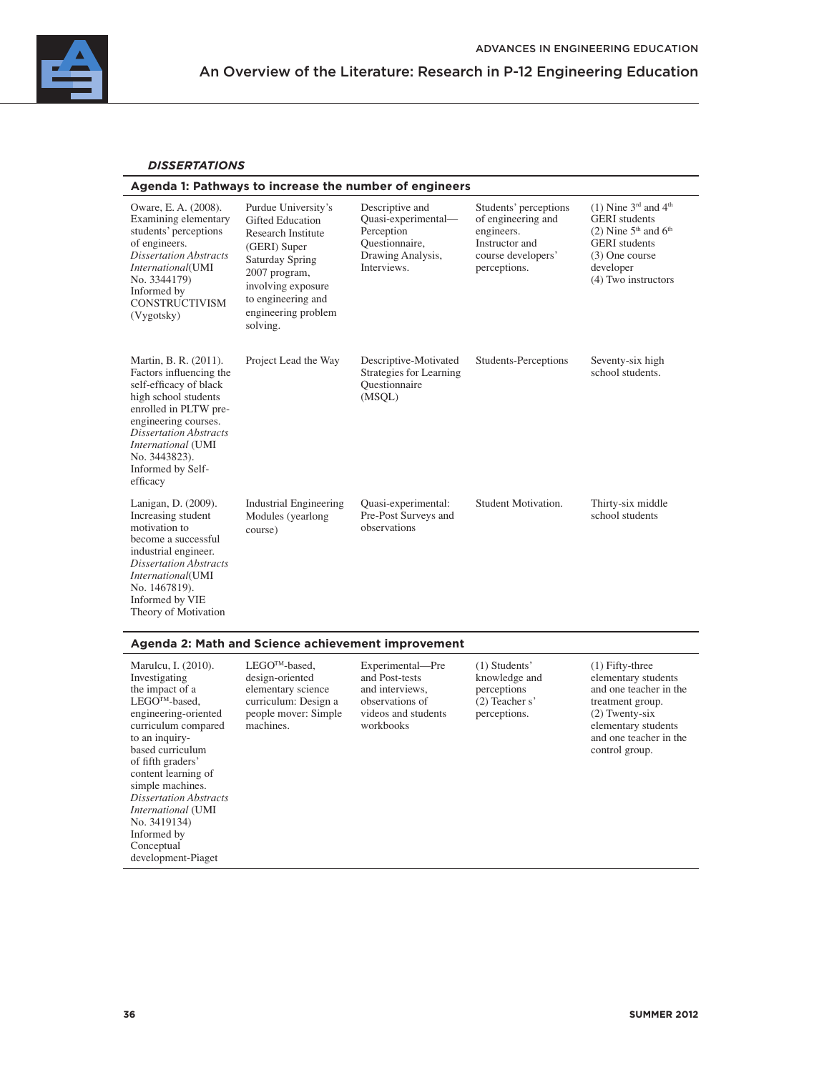

### *DISSERTATIONS*

### **Agenda 1: Pathways to increase the number of engineers**

| Oware, E. A. (2008).<br>Examining elementary<br>students' perceptions<br>of engineers.<br><b>Dissertation Abstracts</b><br>International(UMI<br>No. 3344179)<br>Informed by<br><b>CONSTRUCTIVISM</b><br>(Vygotsky)                                           | Purdue University's<br><b>Gifted Education</b><br><b>Research Institute</b><br>(GERI) Super<br>Saturday Spring<br>2007 program,<br>involving exposure<br>to engineering and<br>engineering problem<br>solving. | Descriptive and<br>Quasi-experimental-<br>Perception<br>Questionnaire,<br>Drawing Analysis,<br>Interviews. | Students' perceptions<br>of engineering and<br>engineers.<br>Instructor and<br>course developers'<br>perceptions. | (1) Nine $3rd$ and $4th$<br><b>GERI</b> students<br>$(2)$ Nine 5 <sup>th</sup> and 6 <sup>th</sup><br><b>GERI</b> students<br>(3) One course<br>developer<br>(4) Two instructors |
|--------------------------------------------------------------------------------------------------------------------------------------------------------------------------------------------------------------------------------------------------------------|----------------------------------------------------------------------------------------------------------------------------------------------------------------------------------------------------------------|------------------------------------------------------------------------------------------------------------|-------------------------------------------------------------------------------------------------------------------|----------------------------------------------------------------------------------------------------------------------------------------------------------------------------------|
| Martin, B. R. (2011).<br>Factors influencing the<br>self-efficacy of black<br>high school students<br>enrolled in PLTW pre-<br>engineering courses.<br><b>Dissertation Abstracts</b><br>International (UMI<br>No. 3443823).<br>Informed by Self-<br>efficacy | Project Lead the Way                                                                                                                                                                                           | Descriptive-Motivated<br>Strategies for Learning<br>Questionnaire<br>(MSOL)                                | Students-Perceptions                                                                                              | Seventy-six high<br>school students.                                                                                                                                             |
| Lanigan, D. (2009).<br>Increasing student<br>motivation to<br>become a successful<br>industrial engineer.<br><b>Dissertation Abstracts</b><br><i>International</i> (UMI<br>No. 1467819).<br>Informed by VIE<br>Theory of Motivation                          | <b>Industrial Engineering</b><br>Modules (yearlong<br>course)                                                                                                                                                  | Quasi-experimental:<br>Pre-Post Surveys and<br>observations                                                | Student Motivation.                                                                                               | Thirty-six middle<br>school students                                                                                                                                             |

### **Agenda 2: Math and Science achievement improvement**

| Marulcu, I. (2010).<br>Investigating<br>the impact of a<br>LEGO <sup>™</sup> -based,<br>engineering-oriented<br>curriculum compared<br>to an inquiry-<br>based curriculum<br>of fifth graders'<br>content learning of<br>simple machines.<br><b>Dissertation Abstracts</b><br><i>International</i> (UMI)<br>No. 3419134)<br>Informed by<br>Conceptual | design-oriented<br>elementary science<br>curriculum: Design a<br>people mover: Simple<br>machines. | Experimental—Pre<br>and Post-tests<br>and interviews.<br>observations of<br>videos and students<br>workbooks | $(1)$ Students'<br>knowledge and<br>perceptions<br>$(2)$ Teacher s'<br>perceptions. | $(1)$ Fifty-three<br>elementary students<br>and one teacher in the<br>treatment group.<br>$(2)$ Twenty-six<br>elementary students<br>and one teacher in the<br>control group. |
|-------------------------------------------------------------------------------------------------------------------------------------------------------------------------------------------------------------------------------------------------------------------------------------------------------------------------------------------------------|----------------------------------------------------------------------------------------------------|--------------------------------------------------------------------------------------------------------------|-------------------------------------------------------------------------------------|-------------------------------------------------------------------------------------------------------------------------------------------------------------------------------|
| development-Piaget                                                                                                                                                                                                                                                                                                                                    |                                                                                                    |                                                                                                              |                                                                                     |                                                                                                                                                                               |